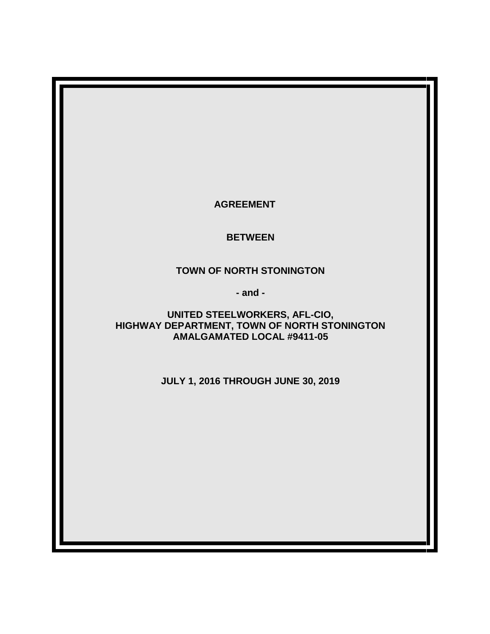**AGREEMENT**

**BETWEEN**

**TOWN OF NORTH STONINGTON**

**- and -**

**UNITED STEELWORKERS, AFL-CIO, HIGHWAY DEPARTMENT, TOWN OF NORTH STONINGTON AMALGAMATED LOCAL #9411-05**

**JULY 1, 2016 THROUGH JUNE 30, 2019**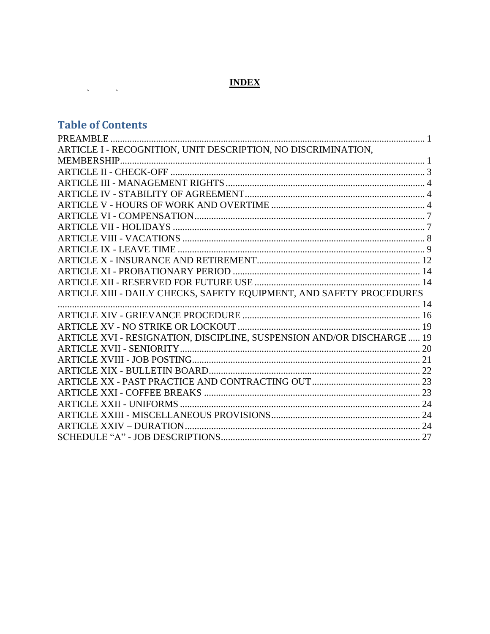# **INDEX**

# **Table of Contents**

 $\label{eq:2.1} \frac{1}{\sqrt{2\pi}}\left(\frac{1}{\sqrt{2\pi}}\right)^{2} \frac{1}{\sqrt{2\pi}}\left(\frac{1}{\sqrt{2\pi}}\right)^{2} \frac{1}{\sqrt{2\pi}}\left(\frac{1}{\sqrt{2\pi}}\right)^{2} \frac{1}{\sqrt{2\pi}}\left(\frac{1}{\sqrt{2\pi}}\right)^{2} \frac{1}{\sqrt{2\pi}}\left(\frac{1}{\sqrt{2\pi}}\right)^{2} \frac{1}{\sqrt{2\pi}}\left(\frac{1}{\sqrt{2\pi}}\right)^{2} \frac{1}{\sqrt{2\pi}}\left(\frac{1}{$ 

| ARTICLE I - RECOGNITION, UNIT DESCRIPTION, NO DISCRIMINATION,          |  |
|------------------------------------------------------------------------|--|
|                                                                        |  |
|                                                                        |  |
|                                                                        |  |
|                                                                        |  |
|                                                                        |  |
|                                                                        |  |
|                                                                        |  |
|                                                                        |  |
|                                                                        |  |
|                                                                        |  |
|                                                                        |  |
|                                                                        |  |
| ARTICLE XIII - DAILY CHECKS, SAFETY EQUIPMENT, AND SAFETY PROCEDURES   |  |
|                                                                        |  |
|                                                                        |  |
|                                                                        |  |
| ARTICLE XVI - RESIGNATION, DISCIPLINE, SUSPENSION AND/OR DISCHARGE  19 |  |
|                                                                        |  |
|                                                                        |  |
|                                                                        |  |
|                                                                        |  |
|                                                                        |  |
|                                                                        |  |
|                                                                        |  |
|                                                                        |  |
|                                                                        |  |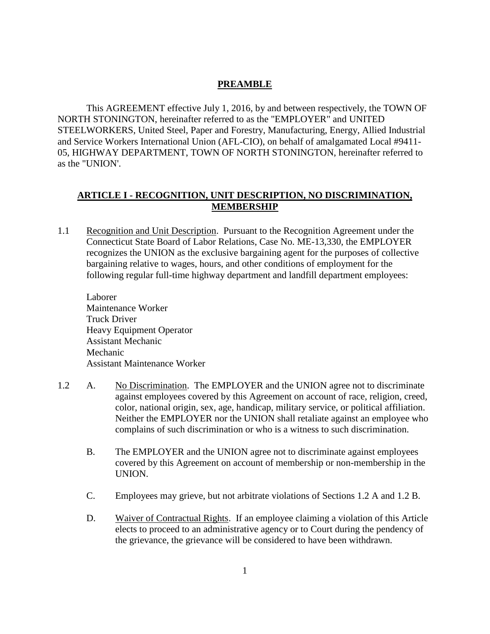## **PREAMBLE**

<span id="page-2-0"></span>This AGREEMENT effective July 1, 2016, by and between respectively, the TOWN OF NORTH STONINGTON, hereinafter referred to as the "EMPLOYER" and UNITED STEELWORKERS, United Steel, Paper and Forestry, Manufacturing, Energy, Allied Industrial and Service Workers International Union (AFL-CIO), on behalf of amalgamated Local #9411- 05, HIGHWAY DEPARTMENT, TOWN OF NORTH STONINGTON, hereinafter referred to as the "UNION'.

## <span id="page-2-1"></span>**ARTICLE I - RECOGNITION, UNIT DESCRIPTION, NO DISCRIMINATION, MEMBERSHIP**

1.1 Recognition and Unit Description. Pursuant to the Recognition Agreement under the Connecticut State Board of Labor Relations, Case No. ME-13,330, the EMPLOYER recognizes the UNION as the exclusive bargaining agent for the purposes of collective bargaining relative to wages, hours, and other conditions of employment for the following regular full-time highway department and landfill department employees:

Laborer Maintenance Worker Truck Driver Heavy Equipment Operator Assistant Mechanic Mechanic Assistant Maintenance Worker

- 1.2 A. No Discrimination. The EMPLOYER and the UNION agree not to discriminate against employees covered by this Agreement on account of race, religion, creed, color, national origin, sex, age, handicap, military service, or political affiliation. Neither the EMPLOYER nor the UNION shall retaliate against an employee who complains of such discrimination or who is a witness to such discrimination.
	- B. The EMPLOYER and the UNION agree not to discriminate against employees covered by this Agreement on account of membership or non-membership in the UNION.
	- C. Employees may grieve, but not arbitrate violations of Sections 1.2 A and 1.2 B.
	- D. Waiver of Contractual Rights. If an employee claiming a violation of this Article elects to proceed to an administrative agency or to Court during the pendency of the grievance, the grievance will be considered to have been withdrawn.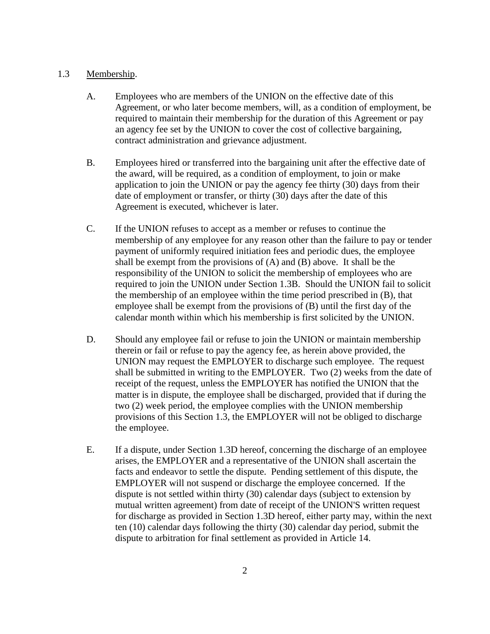#### 1.3 Membership.

- A. Employees who are members of the UNION on the effective date of this Agreement, or who later become members, will, as a condition of employment, be required to maintain their membership for the duration of this Agreement or pay an agency fee set by the UNION to cover the cost of collective bargaining, contract administration and grievance adjustment.
- B. Employees hired or transferred into the bargaining unit after the effective date of the award, will be required, as a condition of employment, to join or make application to join the UNION or pay the agency fee thirty (30) days from their date of employment or transfer, or thirty (30) days after the date of this Agreement is executed, whichever is later.
- C. If the UNION refuses to accept as a member or refuses to continue the membership of any employee for any reason other than the failure to pay or tender payment of uniformly required initiation fees and periodic dues, the employee shall be exempt from the provisions of (A) and (B) above. It shall be the responsibility of the UNION to solicit the membership of employees who are required to join the UNION under Section 1.3B. Should the UNION fail to solicit the membership of an employee within the time period prescribed in (B), that employee shall be exempt from the provisions of (B) until the first day of the calendar month within which his membership is first solicited by the UNION.
- D. Should any employee fail or refuse to join the UNION or maintain membership therein or fail or refuse to pay the agency fee, as herein above provided, the UNION may request the EMPLOYER to discharge such employee. The request shall be submitted in writing to the EMPLOYER. Two (2) weeks from the date of receipt of the request, unless the EMPLOYER has notified the UNION that the matter is in dispute, the employee shall be discharged, provided that if during the two (2) week period, the employee complies with the UNION membership provisions of this Section 1.3, the EMPLOYER will not be obliged to discharge the employee.
- E. If a dispute, under Section 1.3D hereof, concerning the discharge of an employee arises, the EMPLOYER and a representative of the UNION shall ascertain the facts and endeavor to settle the dispute. Pending settlement of this dispute, the EMPLOYER will not suspend or discharge the employee concerned. If the dispute is not settled within thirty (30) calendar days (subject to extension by mutual written agreement) from date of receipt of the UNION'S written request for discharge as provided in Section 1.3D hereof, either party may, within the next ten (10) calendar days following the thirty (30) calendar day period, submit the dispute to arbitration for final settlement as provided in Article 14.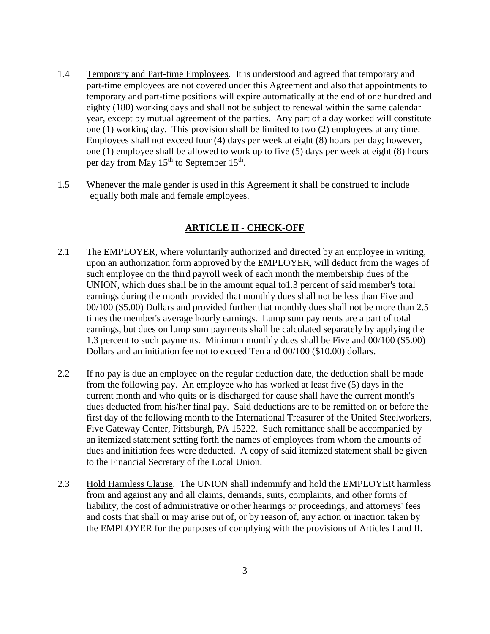- 1.4 Temporary and Part-time Employees. It is understood and agreed that temporary and part-time employees are not covered under this Agreement and also that appointments to temporary and part-time positions will expire automatically at the end of one hundred and eighty (180) working days and shall not be subject to renewal within the same calendar year, except by mutual agreement of the parties. Any part of a day worked will constitute one (1) working day. This provision shall be limited to two (2) employees at any time. Employees shall not exceed four (4) days per week at eight (8) hours per day; however, one (1) employee shall be allowed to work up to five (5) days per week at eight (8) hours per day from May 15<sup>th</sup> to September 15<sup>th</sup>.
- <span id="page-4-0"></span>1.5 Whenever the male gender is used in this Agreement it shall be construed to include equally both male and female employees.

## **ARTICLE II - CHECK-OFF**

- 2.1 The EMPLOYER, where voluntarily authorized and directed by an employee in writing, upon an authorization form approved by the EMPLOYER, will deduct from the wages of such employee on the third payroll week of each month the membership dues of the UNION, which dues shall be in the amount equal to1.3 percent of said member's total earnings during the month provided that monthly dues shall not be less than Five and 00/100 (\$5.00) Dollars and provided further that monthly dues shall not be more than 2.5 times the member's average hourly earnings. Lump sum payments are a part of total earnings, but dues on lump sum payments shall be calculated separately by applying the 1.3 percent to such payments. Minimum monthly dues shall be Five and 00/100 (\$5.00) Dollars and an initiation fee not to exceed Ten and 00/100 (\$10.00) dollars.
- 2.2 If no pay is due an employee on the regular deduction date, the deduction shall be made from the following pay. An employee who has worked at least five (5) days in the current month and who quits or is discharged for cause shall have the current month's dues deducted from his/her final pay. Said deductions are to be remitted on or before the first day of the following month to the International Treasurer of the United Steelworkers, Five Gateway Center, Pittsburgh, PA 15222. Such remittance shall be accompanied by an itemized statement setting forth the names of employees from whom the amounts of dues and initiation fees were deducted. A copy of said itemized statement shall be given to the Financial Secretary of the Local Union.
- 2.3 Hold Harmless Clause. The UNION shall indemnify and hold the EMPLOYER harmless from and against any and all claims, demands, suits, complaints, and other forms of liability, the cost of administrative or other hearings or proceedings, and attorneys' fees and costs that shall or may arise out of, or by reason of, any action or inaction taken by the EMPLOYER for the purposes of complying with the provisions of Articles I and II.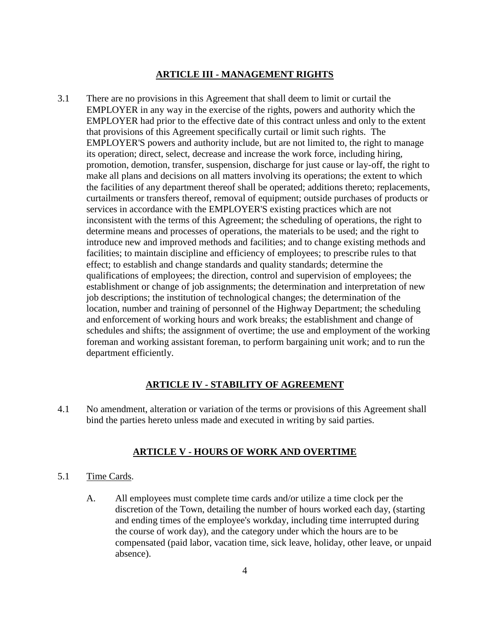## **ARTICLE III - MANAGEMENT RIGHTS**

<span id="page-5-0"></span>3.1 There are no provisions in this Agreement that shall deem to limit or curtail the EMPLOYER in any way in the exercise of the rights, powers and authority which the EMPLOYER had prior to the effective date of this contract unless and only to the extent that provisions of this Agreement specifically curtail or limit such rights. The EMPLOYER'S powers and authority include, but are not limited to, the right to manage its operation; direct, select, decrease and increase the work force, including hiring, promotion, demotion, transfer, suspension, discharge for just cause or lay-off, the right to make all plans and decisions on all matters involving its operations; the extent to which the facilities of any department thereof shall be operated; additions thereto; replacements, curtailments or transfers thereof, removal of equipment; outside purchases of products or services in accordance with the EMPLOYER'S existing practices which are not inconsistent with the terms of this Agreement; the scheduling of operations, the right to determine means and processes of operations, the materials to be used; and the right to introduce new and improved methods and facilities; and to change existing methods and facilities; to maintain discipline and efficiency of employees; to prescribe rules to that effect; to establish and change standards and quality standards; determine the qualifications of employees; the direction, control and supervision of employees; the establishment or change of job assignments; the determination and interpretation of new job descriptions; the institution of technological changes; the determination of the location, number and training of personnel of the Highway Department; the scheduling and enforcement of working hours and work breaks; the establishment and change of schedules and shifts; the assignment of overtime; the use and employment of the working foreman and working assistant foreman, to perform bargaining unit work; and to run the department efficiently.

## **ARTICLE IV - STABILITY OF AGREEMENT**

<span id="page-5-2"></span><span id="page-5-1"></span>4.1 No amendment, alteration or variation of the terms or provisions of this Agreement shall bind the parties hereto unless made and executed in writing by said parties.

#### **ARTICLE V - HOURS OF WORK AND OVERTIME**

- 5.1 Time Cards.
	- A. All employees must complete time cards and/or utilize a time clock per the discretion of the Town, detailing the number of hours worked each day, (starting and ending times of the employee's workday, including time interrupted during the course of work day), and the category under which the hours are to be compensated (paid labor, vacation time, sick leave, holiday, other leave, or unpaid absence).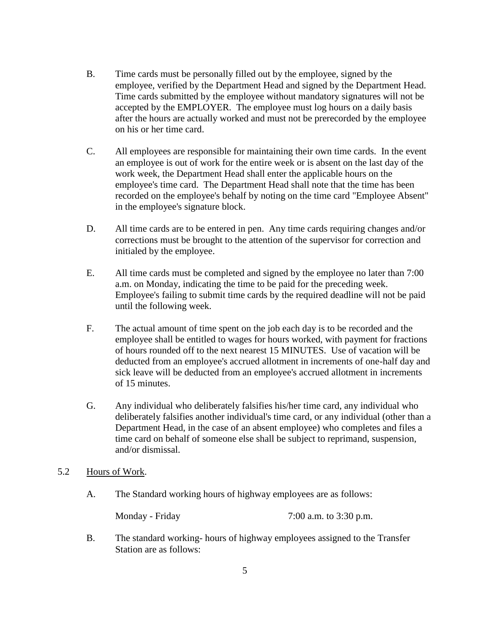- B. Time cards must be personally filled out by the employee, signed by the employee, verified by the Department Head and signed by the Department Head. Time cards submitted by the employee without mandatory signatures will not be accepted by the EMPLOYER. The employee must log hours on a daily basis after the hours are actually worked and must not be prerecorded by the employee on his or her time card.
- C. All employees are responsible for maintaining their own time cards. In the event an employee is out of work for the entire week or is absent on the last day of the work week, the Department Head shall enter the applicable hours on the employee's time card. The Department Head shall note that the time has been recorded on the employee's behalf by noting on the time card "Employee Absent" in the employee's signature block.
- D. All time cards are to be entered in pen. Any time cards requiring changes and/or corrections must be brought to the attention of the supervisor for correction and initialed by the employee.
- E. All time cards must be completed and signed by the employee no later than 7:00 a.m. on Monday, indicating the time to be paid for the preceding week. Employee's failing to submit time cards by the required deadline will not be paid until the following week.
- F. The actual amount of time spent on the job each day is to be recorded and the employee shall be entitled to wages for hours worked, with payment for fractions of hours rounded off to the next nearest 15 MINUTES. Use of vacation will be deducted from an employee's accrued allotment in increments of one-half day and sick leave will be deducted from an employee's accrued allotment in increments of 15 minutes.
- G. Any individual who deliberately falsifies his/her time card, any individual who deliberately falsifies another individual's time card, or any individual (other than a Department Head, in the case of an absent employee) who completes and files a time card on behalf of someone else shall be subject to reprimand, suspension, and/or dismissal.
- 5.2 Hours of Work.
	- A. The Standard working hours of highway employees are as follows:

Monday - Friday 7:00 a.m. to 3:30 p.m.

B. The standard working- hours of highway employees assigned to the Transfer Station are as follows: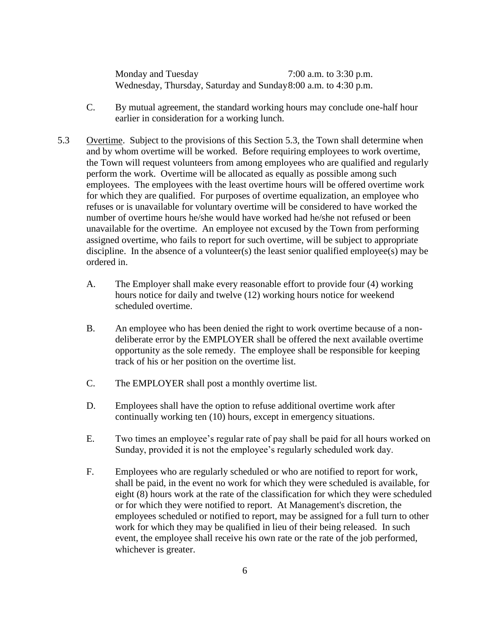Monday and Tuesday 7:00 a.m. to 3:30 p.m. Wednesday, Thursday, Saturday and Sunday8:00 a.m. to 4:30 p.m.

- C. By mutual agreement, the standard working hours may conclude one-half hour earlier in consideration for a working lunch.
- 5.3 Overtime. Subject to the provisions of this Section 5.3, the Town shall determine when and by whom overtime will be worked. Before requiring employees to work overtime, the Town will request volunteers from among employees who are qualified and regularly perform the work. Overtime will be allocated as equally as possible among such employees. The employees with the least overtime hours will be offered overtime work for which they are qualified. For purposes of overtime equalization, an employee who refuses or is unavailable for voluntary overtime will be considered to have worked the number of overtime hours he/she would have worked had he/she not refused or been unavailable for the overtime. An employee not excused by the Town from performing assigned overtime, who fails to report for such overtime, will be subject to appropriate discipline. In the absence of a volunteer(s) the least senior qualified employee(s) may be ordered in.
	- A. The Employer shall make every reasonable effort to provide four (4) working hours notice for daily and twelve (12) working hours notice for weekend scheduled overtime.
	- B. An employee who has been denied the right to work overtime because of a nondeliberate error by the EMPLOYER shall be offered the next available overtime opportunity as the sole remedy. The employee shall be responsible for keeping track of his or her position on the overtime list.
	- C. The EMPLOYER shall post a monthly overtime list.
	- D. Employees shall have the option to refuse additional overtime work after continually working ten (10) hours, except in emergency situations.
	- E. Two times an employee's regular rate of pay shall be paid for all hours worked on Sunday, provided it is not the employee's regularly scheduled work day.
	- F. Employees who are regularly scheduled or who are notified to report for work, shall be paid, in the event no work for which they were scheduled is available, for eight (8) hours work at the rate of the classification for which they were scheduled or for which they were notified to report. At Management's discretion, the employees scheduled or notified to report, may be assigned for a full turn to other work for which they may be qualified in lieu of their being released. In such event, the employee shall receive his own rate or the rate of the job performed, whichever is greater.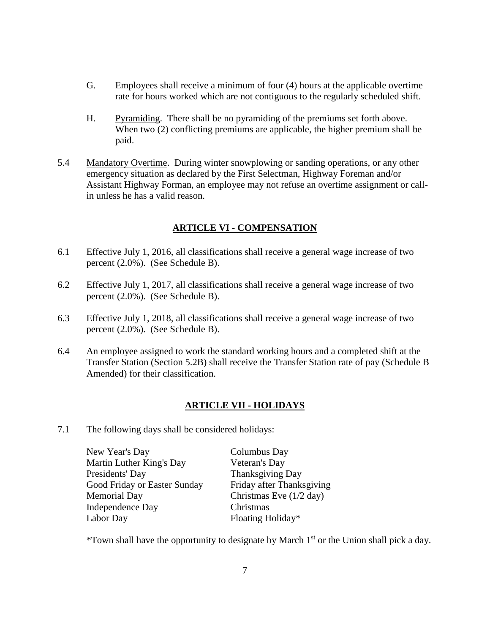- G. Employees shall receive a minimum of four (4) hours at the applicable overtime rate for hours worked which are not contiguous to the regularly scheduled shift.
- H. Pyramiding. There shall be no pyramiding of the premiums set forth above. When two (2) conflicting premiums are applicable, the higher premium shall be paid.
- 5.4 Mandatory Overtime. During winter snowplowing or sanding operations, or any other emergency situation as declared by the First Selectman, Highway Foreman and/or Assistant Highway Forman, an employee may not refuse an overtime assignment or callin unless he has a valid reason.

## **ARTICLE VI - COMPENSATION**

- <span id="page-8-0"></span>6.1 Effective July 1, 2016, all classifications shall receive a general wage increase of two percent (2.0%). (See Schedule B).
- 6.2 Effective July 1, 2017, all classifications shall receive a general wage increase of two percent (2.0%). (See Schedule B).
- 6.3 Effective July 1, 2018, all classifications shall receive a general wage increase of two percent (2.0%). (See Schedule B).
- 6.4 An employee assigned to work the standard working hours and a completed shift at the Transfer Station (Section 5.2B) shall receive the Transfer Station rate of pay (Schedule B Amended) for their classification.

## **ARTICLE VII - HOLIDAYS**

<span id="page-8-1"></span>7.1 The following days shall be considered holidays:

| New Year's Day               | Columbus Day                      |
|------------------------------|-----------------------------------|
| Martin Luther King's Day     | Veteran's Day                     |
| Presidents' Day              | Thanksgiving Day                  |
| Good Friday or Easter Sunday | Friday after Thanksgiving         |
| <b>Memorial Day</b>          | Christmas Eve $(1/2 \text{ day})$ |
| <b>Independence Day</b>      | Christmas                         |
| Labor Day                    | Floating Holiday*                 |

\*Town shall have the opportunity to designate by March  $1<sup>st</sup>$  or the Union shall pick a day.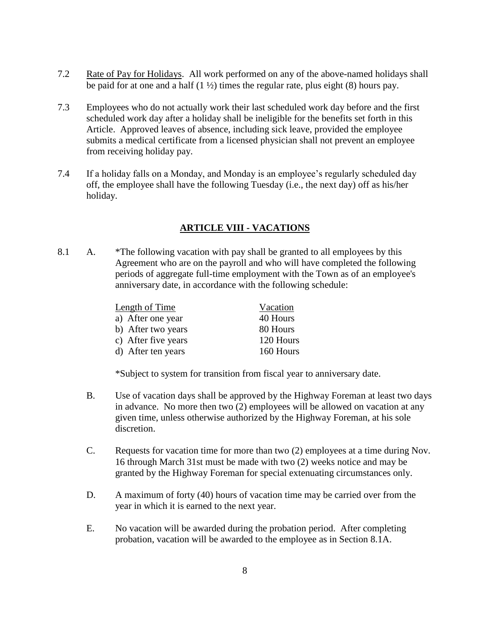- 7.2 Rate of Pay for Holidays. All work performed on any of the above-named holidays shall be paid for at one and a half  $(1 \frac{1}{2})$  times the regular rate, plus eight  $(8)$  hours pay.
- 7.3 Employees who do not actually work their last scheduled work day before and the first scheduled work day after a holiday shall be ineligible for the benefits set forth in this Article. Approved leaves of absence, including sick leave, provided the employee submits a medical certificate from a licensed physician shall not prevent an employee from receiving holiday pay.
- 7.4 If a holiday falls on a Monday, and Monday is an employee's regularly scheduled day off, the employee shall have the following Tuesday (i.e., the next day) off as his/her holiday.

## **ARTICLE VIII - VACATIONS**

<span id="page-9-0"></span>8.1 A. \*The following vacation with pay shall be granted to all employees by this Agreement who are on the payroll and who will have completed the following periods of aggregate full-time employment with the Town as of an employee's anniversary date, in accordance with the following schedule:

| Length of Time      | Vacation  |
|---------------------|-----------|
| a) After one year   | 40 Hours  |
| b) After two years  | 80 Hours  |
| c) After five years | 120 Hours |
| d) After ten years  | 160 Hours |

\*Subject to system for transition from fiscal year to anniversary date.

- B. Use of vacation days shall be approved by the Highway Foreman at least two days in advance. No more then two (2) employees will be allowed on vacation at any given time, unless otherwise authorized by the Highway Foreman, at his sole discretion.
- C. Requests for vacation time for more than two (2) employees at a time during Nov. 16 through March 31st must be made with two (2) weeks notice and may be granted by the Highway Foreman for special extenuating circumstances only.
- D. A maximum of forty (40) hours of vacation time may be carried over from the year in which it is earned to the next year.
- E. No vacation will be awarded during the probation period. After completing probation, vacation will be awarded to the employee as in Section 8.1A.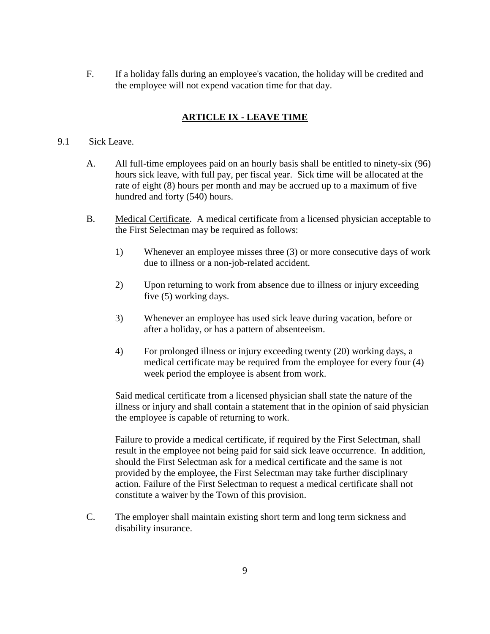F. If a holiday falls during an employee's vacation, the holiday will be credited and the employee will not expend vacation time for that day.

## **ARTICLE IX - LEAVE TIME**

## <span id="page-10-0"></span>9.1 Sick Leave.

- A. All full-time employees paid on an hourly basis shall be entitled to ninety-six (96) hours sick leave, with full pay, per fiscal year. Sick time will be allocated at the rate of eight (8) hours per month and may be accrued up to a maximum of five hundred and forty (540) hours.
- B. Medical Certificate. A medical certificate from a licensed physician acceptable to the First Selectman may be required as follows:
	- 1) Whenever an employee misses three (3) or more consecutive days of work due to illness or a non-job-related accident.
	- 2) Upon returning to work from absence due to illness or injury exceeding five (5) working days.
	- 3) Whenever an employee has used sick leave during vacation, before or after a holiday, or has a pattern of absenteeism.
	- 4) For prolonged illness or injury exceeding twenty (20) working days, a medical certificate may be required from the employee for every four (4) week period the employee is absent from work.

Said medical certificate from a licensed physician shall state the nature of the illness or injury and shall contain a statement that in the opinion of said physician the employee is capable of returning to work.

Failure to provide a medical certificate, if required by the First Selectman, shall result in the employee not being paid for said sick leave occurrence. In addition, should the First Selectman ask for a medical certificate and the same is not provided by the employee, the First Selectman may take further disciplinary action. Failure of the First Selectman to request a medical certificate shall not constitute a waiver by the Town of this provision.

C. The employer shall maintain existing short term and long term sickness and disability insurance.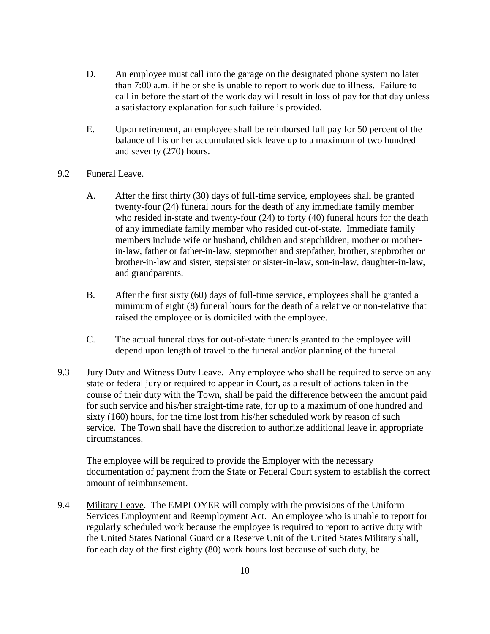- D. An employee must call into the garage on the designated phone system no later than 7:00 a.m. if he or she is unable to report to work due to illness. Failure to call in before the start of the work day will result in loss of pay for that day unless a satisfactory explanation for such failure is provided.
- E. Upon retirement, an employee shall be reimbursed full pay for 50 percent of the balance of his or her accumulated sick leave up to a maximum of two hundred and seventy (270) hours.

## 9.2 Funeral Leave.

- A. After the first thirty (30) days of full-time service, employees shall be granted twenty-four (24) funeral hours for the death of any immediate family member who resided in-state and twenty-four (24) to forty (40) funeral hours for the death of any immediate family member who resided out-of-state. Immediate family members include wife or husband, children and stepchildren, mother or motherin-law, father or father-in-law, stepmother and stepfather, brother, stepbrother or brother-in-law and sister, stepsister or sister-in-law, son-in-law, daughter-in-law, and grandparents.
- B. After the first sixty (60) days of full-time service, employees shall be granted a minimum of eight (8) funeral hours for the death of a relative or non-relative that raised the employee or is domiciled with the employee.
- C. The actual funeral days for out-of-state funerals granted to the employee will depend upon length of travel to the funeral and/or planning of the funeral.
- 9.3 Jury Duty and Witness Duty Leave. Any employee who shall be required to serve on any state or federal jury or required to appear in Court, as a result of actions taken in the course of their duty with the Town, shall be paid the difference between the amount paid for such service and his/her straight-time rate, for up to a maximum of one hundred and sixty (160) hours, for the time lost from his/her scheduled work by reason of such service. The Town shall have the discretion to authorize additional leave in appropriate circumstances.

The employee will be required to provide the Employer with the necessary documentation of payment from the State or Federal Court system to establish the correct amount of reimbursement.

9.4 Military Leave. The EMPLOYER will comply with the provisions of the Uniform Services Employment and Reemployment Act. An employee who is unable to report for regularly scheduled work because the employee is required to report to active duty with the United States National Guard or a Reserve Unit of the United States Military shall, for each day of the first eighty (80) work hours lost because of such duty, be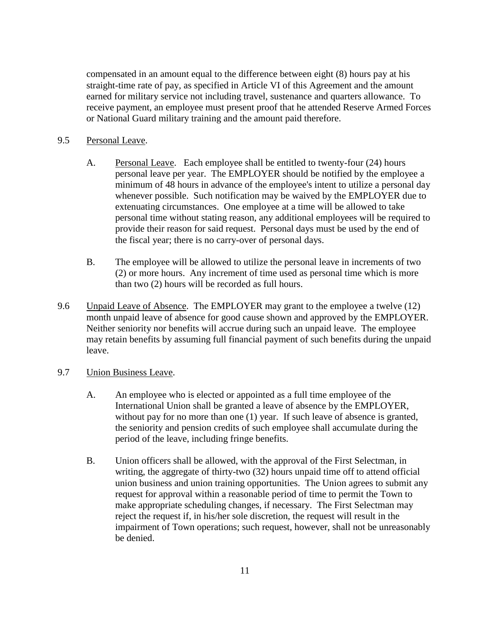compensated in an amount equal to the difference between eight (8) hours pay at his straight-time rate of pay, as specified in Article VI of this Agreement and the amount earned for military service not including travel, sustenance and quarters allowance. To receive payment, an employee must present proof that he attended Reserve Armed Forces or National Guard military training and the amount paid therefore.

#### 9.5 Personal Leave.

- A. Personal Leave. Each employee shall be entitled to twenty-four (24) hours personal leave per year. The EMPLOYER should be notified by the employee a minimum of 48 hours in advance of the employee's intent to utilize a personal day whenever possible. Such notification may be waived by the EMPLOYER due to extenuating circumstances. One employee at a time will be allowed to take personal time without stating reason, any additional employees will be required to provide their reason for said request. Personal days must be used by the end of the fiscal year; there is no carry-over of personal days.
- B. The employee will be allowed to utilize the personal leave in increments of two (2) or more hours. Any increment of time used as personal time which is more than two (2) hours will be recorded as full hours.
- 9.6 Unpaid Leave of Absence. The EMPLOYER may grant to the employee a twelve (12) month unpaid leave of absence for good cause shown and approved by the EMPLOYER. Neither seniority nor benefits will accrue during such an unpaid leave. The employee may retain benefits by assuming full financial payment of such benefits during the unpaid leave.
- 9.7 Union Business Leave.
	- A. An employee who is elected or appointed as a full time employee of the International Union shall be granted a leave of absence by the EMPLOYER, without pay for no more than one (1) year. If such leave of absence is granted, the seniority and pension credits of such employee shall accumulate during the period of the leave, including fringe benefits.
	- B. Union officers shall be allowed, with the approval of the First Selectman, in writing, the aggregate of thirty-two (32) hours unpaid time off to attend official union business and union training opportunities. The Union agrees to submit any request for approval within a reasonable period of time to permit the Town to make appropriate scheduling changes, if necessary. The First Selectman may reject the request if, in his/her sole discretion, the request will result in the impairment of Town operations; such request, however, shall not be unreasonably be denied.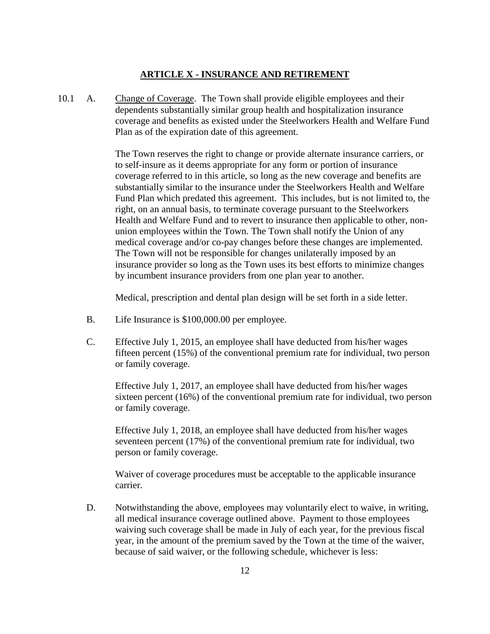### **ARTICLE X - INSURANCE AND RETIREMENT**

<span id="page-13-0"></span>10.1 A. Change of Coverage. The Town shall provide eligible employees and their dependents substantially similar group health and hospitalization insurance coverage and benefits as existed under the Steelworkers Health and Welfare Fund Plan as of the expiration date of this agreement.

> The Town reserves the right to change or provide alternate insurance carriers, or to self-insure as it deems appropriate for any form or portion of insurance coverage referred to in this article, so long as the new coverage and benefits are substantially similar to the insurance under the Steelworkers Health and Welfare Fund Plan which predated this agreement. This includes, but is not limited to, the right, on an annual basis, to terminate coverage pursuant to the Steelworkers Health and Welfare Fund and to revert to insurance then applicable to other, nonunion employees within the Town. The Town shall notify the Union of any medical coverage and/or co-pay changes before these changes are implemented. The Town will not be responsible for changes unilaterally imposed by an insurance provider so long as the Town uses its best efforts to minimize changes by incumbent insurance providers from one plan year to another.

Medical, prescription and dental plan design will be set forth in a side letter.

- B. Life Insurance is \$100,000.00 per employee.
- C. Effective July 1, 2015, an employee shall have deducted from his/her wages fifteen percent (15%) of the conventional premium rate for individual, two person or family coverage.

Effective July 1, 2017, an employee shall have deducted from his/her wages sixteen percent (16%) of the conventional premium rate for individual, two person or family coverage.

Effective July 1, 2018, an employee shall have deducted from his/her wages seventeen percent (17%) of the conventional premium rate for individual, two person or family coverage.

Waiver of coverage procedures must be acceptable to the applicable insurance carrier.

D. Notwithstanding the above, employees may voluntarily elect to waive, in writing, all medical insurance coverage outlined above. Payment to those employees waiving such coverage shall be made in July of each year, for the previous fiscal year, in the amount of the premium saved by the Town at the time of the waiver, because of said waiver, or the following schedule, whichever is less: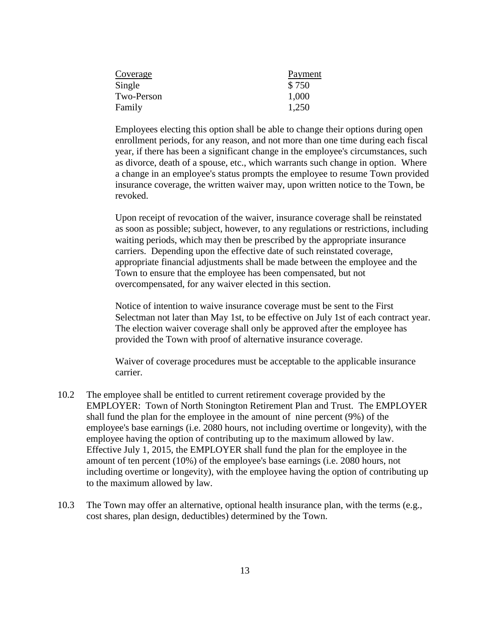| Payment |
|---------|
| \$750   |
| 1,000   |
| 1,250   |
|         |

Employees electing this option shall be able to change their options during open enrollment periods, for any reason, and not more than one time during each fiscal year, if there has been a significant change in the employee's circumstances, such as divorce, death of a spouse, etc., which warrants such change in option. Where a change in an employee's status prompts the employee to resume Town provided insurance coverage, the written waiver may, upon written notice to the Town, be revoked.

Upon receipt of revocation of the waiver, insurance coverage shall be reinstated as soon as possible; subject, however, to any regulations or restrictions, including waiting periods, which may then be prescribed by the appropriate insurance carriers. Depending upon the effective date of such reinstated coverage, appropriate financial adjustments shall be made between the employee and the Town to ensure that the employee has been compensated, but not overcompensated, for any waiver elected in this section.

Notice of intention to waive insurance coverage must be sent to the First Selectman not later than May 1st, to be effective on July 1st of each contract year. The election waiver coverage shall only be approved after the employee has provided the Town with proof of alternative insurance coverage.

Waiver of coverage procedures must be acceptable to the applicable insurance carrier.

- 10.2 The employee shall be entitled to current retirement coverage provided by the EMPLOYER: Town of North Stonington Retirement Plan and Trust. The EMPLOYER shall fund the plan for the employee in the amount of nine percent (9%) of the employee's base earnings (i.e. 2080 hours, not including overtime or longevity), with the employee having the option of contributing up to the maximum allowed by law. Effective July 1, 2015, the EMPLOYER shall fund the plan for the employee in the amount of ten percent (10%) of the employee's base earnings (i.e. 2080 hours, not including overtime or longevity), with the employee having the option of contributing up to the maximum allowed by law.
- 10.3 The Town may offer an alternative, optional health insurance plan, with the terms (e.g., cost shares, plan design, deductibles) determined by the Town.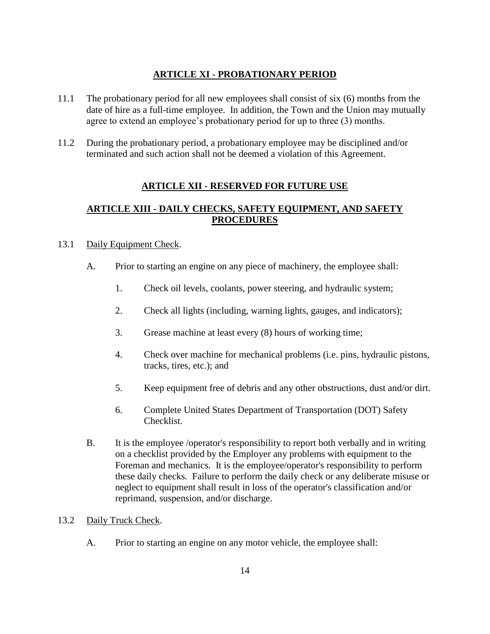## **ARTICLE XI - PROBATIONARY PERIOD**

- <span id="page-15-0"></span>11.1 The probationary period for all new employees shall consist of six (6) months from the date of hire as a full-time employee. In addition, the Town and the Union may mutually agree to extend an employee's probationary period for up to three (3) months.
- <span id="page-15-1"></span>11.2 During the probationary period, a probationary employee may be disciplined and/or terminated and such action shall not be deemed a violation of this Agreement.

## **ARTICLE XII - RESERVED FOR FUTURE USE**

## <span id="page-15-2"></span>**ARTICLE XIII - DAILY CHECKS, SAFETY EQUIPMENT, AND SAFETY PROCEDURES**

## 13.1 Daily Equipment Check.

- A. Prior to starting an engine on any piece of machinery, the employee shall:
	- 1. Check oil levels, coolants, power steering, and hydraulic system;
	- 2. Check all lights (including, warning lights, gauges, and indicators);
	- 3. Grease machine at least every (8) hours of working time;
	- 4. Check over machine for mechanical problems (i.e. pins, hydraulic pistons, tracks, tires, etc.); and
	- 5. Keep equipment free of debris and any other obstructions, dust and/or dirt.
	- 6. Complete United States Department of Transportation (DOT) Safety Checklist.
- B. It is the employee /operator's responsibility to report both verbally and in writing on a checklist provided by the Employer any problems with equipment to the Foreman and mechanics. It is the employee/operator's responsibility to perform these daily checks. Failure to perform the daily check or any deliberate misuse or neglect to equipment shall result in loss of the operator's classification and/or reprimand, suspension, and/or discharge.

## 13.2 Daily Truck Check.

A. Prior to starting an engine on any motor vehicle, the employee shall: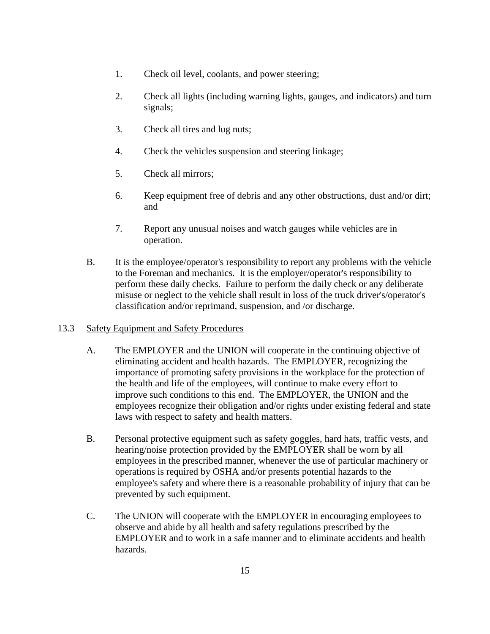- 1. Check oil level, coolants, and power steering;
- 2. Check all lights (including warning lights, gauges, and indicators) and turn signals;
- 3. Check all tires and lug nuts;
- 4. Check the vehicles suspension and steering linkage;
- 5. Check all mirrors;
- 6. Keep equipment free of debris and any other obstructions, dust and/or dirt; and
- 7. Report any unusual noises and watch gauges while vehicles are in operation.
- B. It is the employee/operator's responsibility to report any problems with the vehicle to the Foreman and mechanics. It is the employer/operator's responsibility to perform these daily checks. Failure to perform the daily check or any deliberate misuse or neglect to the vehicle shall result in loss of the truck driver's/operator's classification and/or reprimand, suspension, and /or discharge.

#### 13.3 Safety Equipment and Safety Procedures

- A. The EMPLOYER and the UNION will cooperate in the continuing objective of eliminating accident and health hazards. The EMPLOYER, recognizing the importance of promoting safety provisions in the workplace for the protection of the health and life of the employees, will continue to make every effort to improve such conditions to this end. The EMPLOYER, the UNION and the employees recognize their obligation and/or rights under existing federal and state laws with respect to safety and health matters.
- B. Personal protective equipment such as safety goggles, hard hats, traffic vests, and hearing/noise protection provided by the EMPLOYER shall be worn by all employees in the prescribed manner, whenever the use of particular machinery or operations is required by OSHA and/or presents potential hazards to the employee's safety and where there is a reasonable probability of injury that can be prevented by such equipment.
- C. The UNION will cooperate with the EMPLOYER in encouraging employees to observe and abide by all health and safety regulations prescribed by the EMPLOYER and to work in a safe manner and to eliminate accidents and health hazards.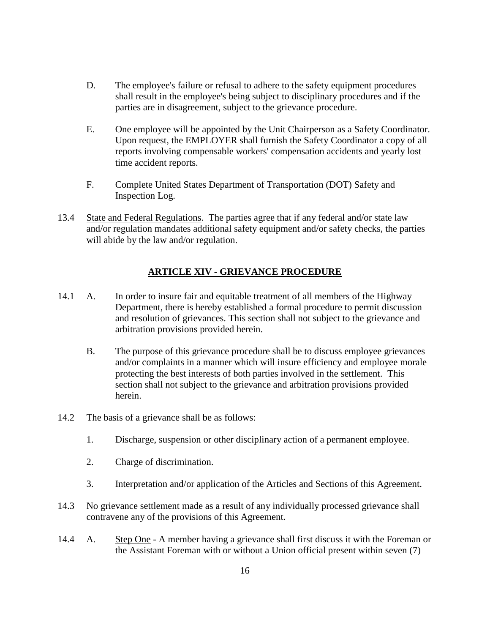- D. The employee's failure or refusal to adhere to the safety equipment procedures shall result in the employee's being subject to disciplinary procedures and if the parties are in disagreement, subject to the grievance procedure.
- E. One employee will be appointed by the Unit Chairperson as a Safety Coordinator. Upon request, the EMPLOYER shall furnish the Safety Coordinator a copy of all reports involving compensable workers' compensation accidents and yearly lost time accident reports.
- F. Complete United States Department of Transportation (DOT) Safety and Inspection Log.
- 13.4 State and Federal Regulations. The parties agree that if any federal and/or state law and/or regulation mandates additional safety equipment and/or safety checks, the parties will abide by the law and/or regulation.

## **ARTICLE XIV - GRIEVANCE PROCEDURE**

- <span id="page-17-0"></span>14.1 A. In order to insure fair and equitable treatment of all members of the Highway Department, there is hereby established a formal procedure to permit discussion and resolution of grievances. This section shall not subject to the grievance and arbitration provisions provided herein.
	- B. The purpose of this grievance procedure shall be to discuss employee grievances and/or complaints in a manner which will insure efficiency and employee morale protecting the best interests of both parties involved in the settlement. This section shall not subject to the grievance and arbitration provisions provided herein.
- 14.2 The basis of a grievance shall be as follows:
	- 1. Discharge, suspension or other disciplinary action of a permanent employee.
	- 2. Charge of discrimination.
	- 3. Interpretation and/or application of the Articles and Sections of this Agreement.
- 14.3 No grievance settlement made as a result of any individually processed grievance shall contravene any of the provisions of this Agreement.
- 14.4 A. Step One A member having a grievance shall first discuss it with the Foreman or the Assistant Foreman with or without a Union official present within seven (7)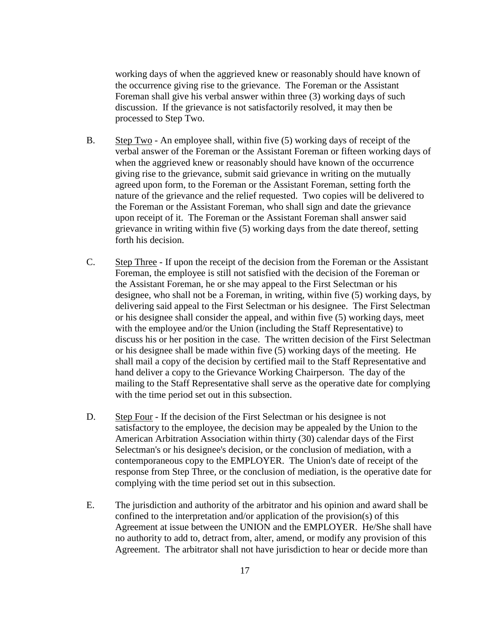working days of when the aggrieved knew or reasonably should have known of the occurrence giving rise to the grievance. The Foreman or the Assistant Foreman shall give his verbal answer within three (3) working days of such discussion. If the grievance is not satisfactorily resolved, it may then be processed to Step Two.

- B. Step Two An employee shall, within five (5) working days of receipt of the verbal answer of the Foreman or the Assistant Foreman or fifteen working days of when the aggrieved knew or reasonably should have known of the occurrence giving rise to the grievance, submit said grievance in writing on the mutually agreed upon form, to the Foreman or the Assistant Foreman, setting forth the nature of the grievance and the relief requested. Two copies will be delivered to the Foreman or the Assistant Foreman, who shall sign and date the grievance upon receipt of it. The Foreman or the Assistant Foreman shall answer said grievance in writing within five (5) working days from the date thereof, setting forth his decision.
- C. Step Three If upon the receipt of the decision from the Foreman or the Assistant Foreman, the employee is still not satisfied with the decision of the Foreman or the Assistant Foreman, he or she may appeal to the First Selectman or his designee, who shall not be a Foreman, in writing, within five (5) working days, by delivering said appeal to the First Selectman or his designee. The First Selectman or his designee shall consider the appeal, and within five (5) working days, meet with the employee and/or the Union (including the Staff Representative) to discuss his or her position in the case. The written decision of the First Selectman or his designee shall be made within five (5) working days of the meeting. He shall mail a copy of the decision by certified mail to the Staff Representative and hand deliver a copy to the Grievance Working Chairperson. The day of the mailing to the Staff Representative shall serve as the operative date for complying with the time period set out in this subsection.
- D. Step Four If the decision of the First Selectman or his designee is not satisfactory to the employee, the decision may be appealed by the Union to the American Arbitration Association within thirty (30) calendar days of the First Selectman's or his designee's decision, or the conclusion of mediation, with a contemporaneous copy to the EMPLOYER. The Union's date of receipt of the response from Step Three, or the conclusion of mediation, is the operative date for complying with the time period set out in this subsection.
- E. The jurisdiction and authority of the arbitrator and his opinion and award shall be confined to the interpretation and/or application of the provision(s) of this Agreement at issue between the UNION and the EMPLOYER. He/She shall have no authority to add to, detract from, alter, amend, or modify any provision of this Agreement. The arbitrator shall not have jurisdiction to hear or decide more than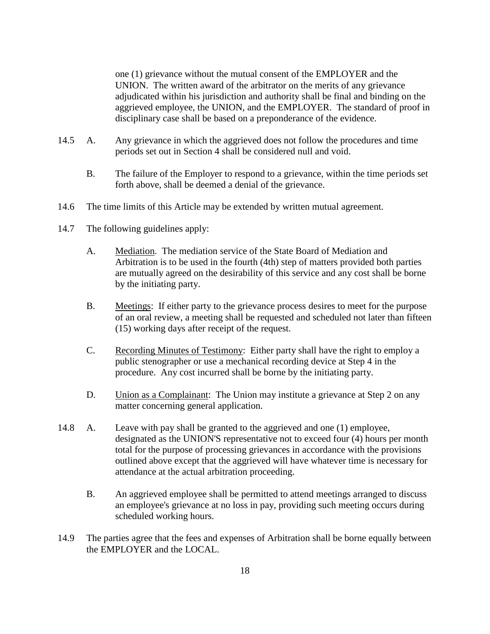one (1) grievance without the mutual consent of the EMPLOYER and the UNION. The written award of the arbitrator on the merits of any grievance adjudicated within his jurisdiction and authority shall be final and binding on the aggrieved employee, the UNION, and the EMPLOYER. The standard of proof in disciplinary case shall be based on a preponderance of the evidence.

- 14.5 A. Any grievance in which the aggrieved does not follow the procedures and time periods set out in Section 4 shall be considered null and void.
	- B. The failure of the Employer to respond to a grievance, within the time periods set forth above, shall be deemed a denial of the grievance.
- 14.6 The time limits of this Article may be extended by written mutual agreement.
- 14.7 The following guidelines apply:
	- A. Mediation. The mediation service of the State Board of Mediation and Arbitration is to be used in the fourth (4th) step of matters provided both parties are mutually agreed on the desirability of this service and any cost shall be borne by the initiating party.
	- B. Meetings: If either party to the grievance process desires to meet for the purpose of an oral review, a meeting shall be requested and scheduled not later than fifteen (15) working days after receipt of the request.
	- C. Recording Minutes of Testimony: Either party shall have the right to employ a public stenographer or use a mechanical recording device at Step 4 in the procedure. Any cost incurred shall be borne by the initiating party.
	- D. Union as a Complainant: The Union may institute a grievance at Step 2 on any matter concerning general application.
- 14.8 A. Leave with pay shall be granted to the aggrieved and one (1) employee, designated as the UNION'S representative not to exceed four (4) hours per month total for the purpose of processing grievances in accordance with the provisions outlined above except that the aggrieved will have whatever time is necessary for attendance at the actual arbitration proceeding.
	- B. An aggrieved employee shall be permitted to attend meetings arranged to discuss an employee's grievance at no loss in pay, providing such meeting occurs during scheduled working hours.
- 14.9 The parties agree that the fees and expenses of Arbitration shall be borne equally between the EMPLOYER and the LOCAL.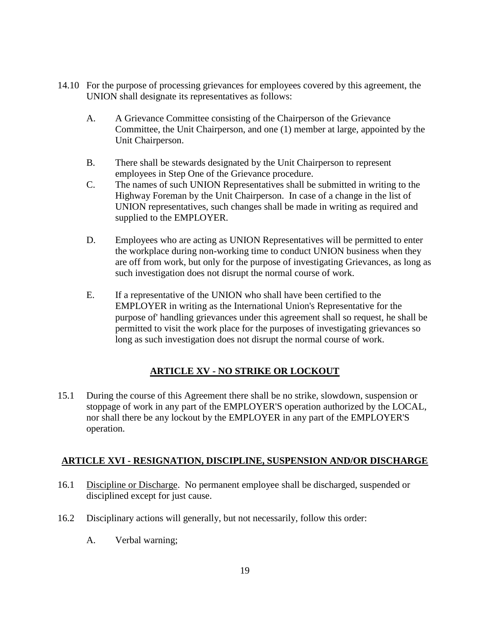- 14.10 For the purpose of processing grievances for employees covered by this agreement, the UNION shall designate its representatives as follows:
	- A. A Grievance Committee consisting of the Chairperson of the Grievance Committee, the Unit Chairperson, and one (1) member at large, appointed by the Unit Chairperson.
	- B. There shall be stewards designated by the Unit Chairperson to represent employees in Step One of the Grievance procedure.
	- C. The names of such UNION Representatives shall be submitted in writing to the Highway Foreman by the Unit Chairperson. In case of a change in the list of UNION representatives, such changes shall be made in writing as required and supplied to the EMPLOYER.
	- D. Employees who are acting as UNION Representatives will be permitted to enter the workplace during non-working time to conduct UNION business when they are off from work, but only for the purpose of investigating Grievances, as long as such investigation does not disrupt the normal course of work.
	- E. If a representative of the UNION who shall have been certified to the EMPLOYER in writing as the International Union's Representative for the purpose of' handling grievances under this agreement shall so request, he shall be permitted to visit the work place for the purposes of investigating grievances so long as such investigation does not disrupt the normal course of work.

## **ARTICLE XV - NO STRIKE OR LOCKOUT**

<span id="page-20-0"></span>15.1 During the course of this Agreement there shall be no strike, slowdown, suspension or stoppage of work in any part of the EMPLOYER'S operation authorized by the LOCAL, nor shall there be any lockout by the EMPLOYER in any part of the EMPLOYER'S operation.

## <span id="page-20-1"></span>**ARTICLE XVI - RESIGNATION, DISCIPLINE, SUSPENSION AND/OR DISCHARGE**

- 16.1 Discipline or Discharge. No permanent employee shall be discharged, suspended or disciplined except for just cause.
- 16.2 Disciplinary actions will generally, but not necessarily, follow this order:
	- A. Verbal warning;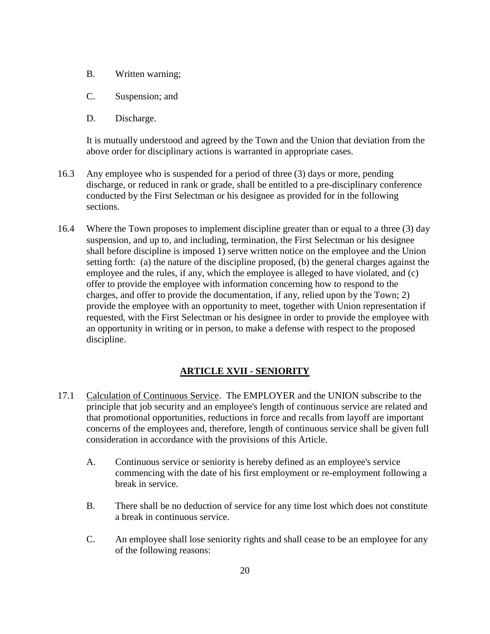- B. Written warning;
- C. Suspension; and
- D. Discharge.

It is mutually understood and agreed by the Town and the Union that deviation from the above order for disciplinary actions is warranted in appropriate cases.

- 16.3 Any employee who is suspended for a period of three (3) days or more, pending discharge, or reduced in rank or grade, shall be entitled to a pre-disciplinary conference conducted by the First Selectman or his designee as provided for in the following sections.
- 16.4 Where the Town proposes to implement discipline greater than or equal to a three (3) day suspension, and up to, and including, termination, the First Selectman or his designee shall before discipline is imposed 1) serve written notice on the employee and the Union setting forth: (a) the nature of the discipline proposed, (b) the general charges against the employee and the rules, if any, which the employee is alleged to have violated, and (c) offer to provide the employee with information concerning how to respond to the charges, and offer to provide the documentation, if any, relied upon by the Town; 2) provide the employee with an opportunity to meet, together with Union representation if requested, with the First Selectman or his designee in order to provide the employee with an opportunity in writing or in person, to make a defense with respect to the proposed discipline.

## **ARTICLE XVII - SENIORITY**

- <span id="page-21-0"></span>17.1 Calculation of Continuous Service. The EMPLOYER and the UNION subscribe to the principle that job security and an employee's length of continuous service are related and that promotional opportunities, reductions in force and recalls from layoff are important concerns of the employees and, therefore, length of continuous service shall be given full consideration in accordance with the provisions of this Article.
	- A. Continuous service or seniority is hereby defined as an employee's service commencing with the date of his first employment or re-employment following a break in service.
	- B. There shall be no deduction of service for any time lost which does not constitute a break in continuous service.
	- C. An employee shall lose seniority rights and shall cease to be an employee for any of the following reasons: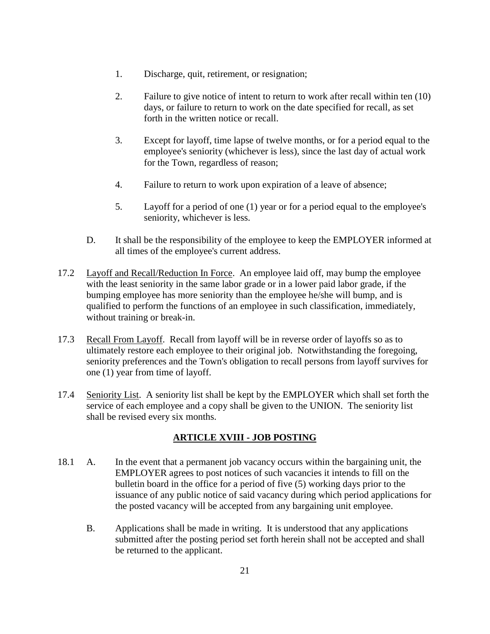- 1. Discharge, quit, retirement, or resignation;
- 2. Failure to give notice of intent to return to work after recall within ten (10) days, or failure to return to work on the date specified for recall, as set forth in the written notice or recall.
- 3. Except for layoff, time lapse of twelve months, or for a period equal to the employee's seniority (whichever is less), since the last day of actual work for the Town, regardless of reason;
- 4. Failure to return to work upon expiration of a leave of absence;
- 5. Layoff for a period of one (1) year or for a period equal to the employee's seniority, whichever is less.
- D. It shall be the responsibility of the employee to keep the EMPLOYER informed at all times of the employee's current address.
- 17.2 Layoff and Recall/Reduction In Force. An employee laid off, may bump the employee with the least seniority in the same labor grade or in a lower paid labor grade, if the bumping employee has more seniority than the employee he/she will bump, and is qualified to perform the functions of an employee in such classification, immediately, without training or break-in.
- 17.3 Recall From Layoff. Recall from layoff will be in reverse order of layoffs so as to ultimately restore each employee to their original job. Notwithstanding the foregoing, seniority preferences and the Town's obligation to recall persons from layoff survives for one (1) year from time of layoff.
- <span id="page-22-0"></span>17.4 Seniority List. A seniority list shall be kept by the EMPLOYER which shall set forth the service of each employee and a copy shall be given to the UNION. The seniority list shall be revised every six months.

## **ARTICLE XVIII - JOB POSTING**

- 18.1 A. In the event that a permanent job vacancy occurs within the bargaining unit, the EMPLOYER agrees to post notices of such vacancies it intends to fill on the bulletin board in the office for a period of five (5) working days prior to the issuance of any public notice of said vacancy during which period applications for the posted vacancy will be accepted from any bargaining unit employee.
	- B. Applications shall be made in writing. It is understood that any applications submitted after the posting period set forth herein shall not be accepted and shall be returned to the applicant.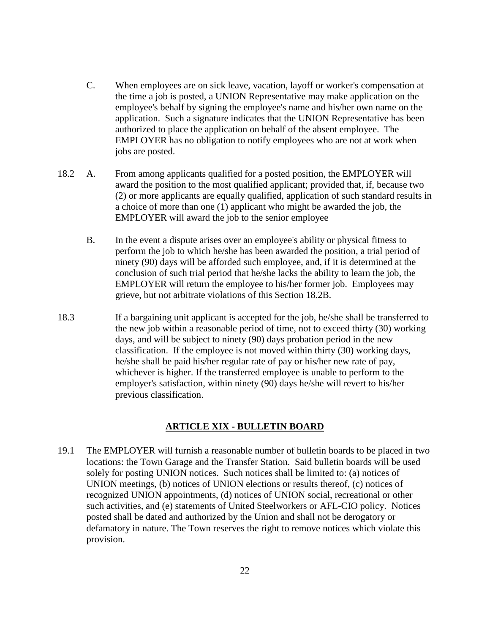- C. When employees are on sick leave, vacation, layoff or worker's compensation at the time a job is posted, a UNION Representative may make application on the employee's behalf by signing the employee's name and his/her own name on the application. Such a signature indicates that the UNION Representative has been authorized to place the application on behalf of the absent employee. The EMPLOYER has no obligation to notify employees who are not at work when jobs are posted.
- 18.2 A. From among applicants qualified for a posted position, the EMPLOYER will award the position to the most qualified applicant; provided that, if, because two (2) or more applicants are equally qualified, application of such standard results in a choice of more than one (1) applicant who might be awarded the job, the EMPLOYER will award the job to the senior employee
	- B. In the event a dispute arises over an employee's ability or physical fitness to perform the job to which he/she has been awarded the position, a trial period of ninety (90) days will be afforded such employee, and, if it is determined at the conclusion of such trial period that he/she lacks the ability to learn the job, the EMPLOYER will return the employee to his/her former job. Employees may grieve, but not arbitrate violations of this Section 18.2B.
- 18.3 If a bargaining unit applicant is accepted for the job, he/she shall be transferred to the new job within a reasonable period of time, not to exceed thirty (30) working days, and will be subject to ninety (90) days probation period in the new classification. If the employee is not moved within thirty (30) working days, he/she shall be paid his/her regular rate of pay or his/her new rate of pay, whichever is higher. If the transferred employee is unable to perform to the employer's satisfaction, within ninety (90) days he/she will revert to his/her previous classification.

#### **ARTICLE XIX - BULLETIN BOARD**

<span id="page-23-0"></span>19.1 The EMPLOYER will furnish a reasonable number of bulletin boards to be placed in two locations: the Town Garage and the Transfer Station. Said bulletin boards will be used solely for posting UNION notices. Such notices shall be limited to: (a) notices of UNION meetings, (b) notices of UNION elections or results thereof, (c) notices of recognized UNION appointments, (d) notices of UNION social, recreational or other such activities, and (e) statements of United Steelworkers or AFL-CIO policy. Notices posted shall be dated and authorized by the Union and shall not be derogatory or defamatory in nature. The Town reserves the right to remove notices which violate this provision.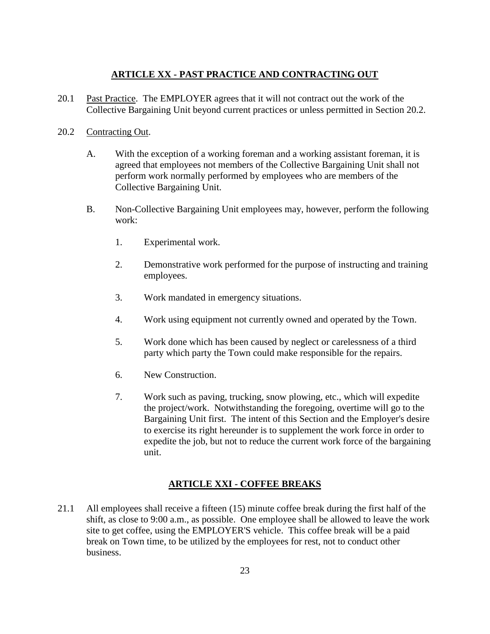## **ARTICLE XX - PAST PRACTICE AND CONTRACTING OUT**

<span id="page-24-0"></span>20.1 Past Practice. The EMPLOYER agrees that it will not contract out the work of the Collective Bargaining Unit beyond current practices or unless permitted in Section 20.2.

## 20.2 Contracting Out.

- A. With the exception of a working foreman and a working assistant foreman, it is agreed that employees not members of the Collective Bargaining Unit shall not perform work normally performed by employees who are members of the Collective Bargaining Unit.
- B. Non-Collective Bargaining Unit employees may, however, perform the following work:
	- 1. Experimental work.
	- 2. Demonstrative work performed for the purpose of instructing and training employees.
	- 3. Work mandated in emergency situations.
	- 4. Work using equipment not currently owned and operated by the Town.
	- 5. Work done which has been caused by neglect or carelessness of a third party which party the Town could make responsible for the repairs.
	- 6. New Construction.
	- 7. Work such as paving, trucking, snow plowing, etc., which will expedite the project/work. Notwithstanding the foregoing, overtime will go to the Bargaining Unit first. The intent of this Section and the Employer's desire to exercise its right hereunder is to supplement the work force in order to expedite the job, but not to reduce the current work force of the bargaining unit.

## **ARTICLE XXI - COFFEE BREAKS**

<span id="page-24-1"></span>21.1 All employees shall receive a fifteen (15) minute coffee break during the first half of the shift, as close to 9:00 a.m., as possible. One employee shall be allowed to leave the work site to get coffee, using the EMPLOYER'S vehicle. This coffee break will be a paid break on Town time, to be utilized by the employees for rest, not to conduct other business.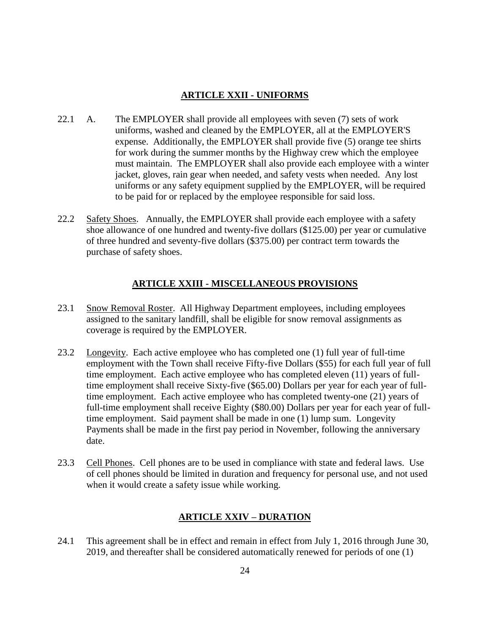## **ARTICLE XXII - UNIFORMS**

- <span id="page-25-0"></span>22.1 A. The EMPLOYER shall provide all employees with seven (7) sets of work uniforms, washed and cleaned by the EMPLOYER, all at the EMPLOYER'S expense. Additionally, the EMPLOYER shall provide five (5) orange tee shirts for work during the summer months by the Highway crew which the employee must maintain. The EMPLOYER shall also provide each employee with a winter jacket, gloves, rain gear when needed, and safety vests when needed. Any lost uniforms or any safety equipment supplied by the EMPLOYER, will be required to be paid for or replaced by the employee responsible for said loss.
- 22.2 Safety Shoes. Annually, the EMPLOYER shall provide each employee with a safety shoe allowance of one hundred and twenty-five dollars (\$125.00) per year or cumulative of three hundred and seventy-five dollars (\$375.00) per contract term towards the purchase of safety shoes.

## **ARTICLE XXIII - MISCELLANEOUS PROVISIONS**

- <span id="page-25-1"></span>23.1 Snow Removal Roster. All Highway Department employees, including employees assigned to the sanitary landfill, shall be eligible for snow removal assignments as coverage is required by the EMPLOYER.
- 23.2 Longevity. Each active employee who has completed one (1) full year of full-time employment with the Town shall receive Fifty-five Dollars (\$55) for each full year of full time employment. Each active employee who has completed eleven (11) years of fulltime employment shall receive Sixty-five (\$65.00) Dollars per year for each year of fulltime employment. Each active employee who has completed twenty-one (21) years of full-time employment shall receive Eighty (\$80.00) Dollars per year for each year of fulltime employment. Said payment shall be made in one (1) lump sum. Longevity Payments shall be made in the first pay period in November, following the anniversary date.
- 23.3 Cell Phones. Cell phones are to be used in compliance with state and federal laws. Use of cell phones should be limited in duration and frequency for personal use, and not used when it would create a safety issue while working.

## **ARTICLE XXIV – DURATION**

<span id="page-25-2"></span>24.1 This agreement shall be in effect and remain in effect from July 1, 2016 through June 30, 2019, and thereafter shall be considered automatically renewed for periods of one (1)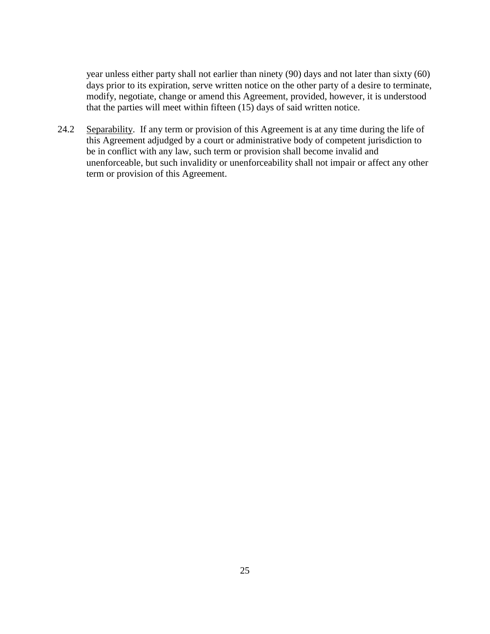year unless either party shall not earlier than ninety (90) days and not later than sixty (60) days prior to its expiration, serve written notice on the other party of a desire to terminate, modify, negotiate, change or amend this Agreement, provided, however, it is understood that the parties will meet within fifteen (15) days of said written notice.

24.2 Separability. If any term or provision of this Agreement is at any time during the life of this Agreement adjudged by a court or administrative body of competent jurisdiction to be in conflict with any law, such term or provision shall become invalid and unenforceable, but such invalidity or unenforceability shall not impair or affect any other term or provision of this Agreement.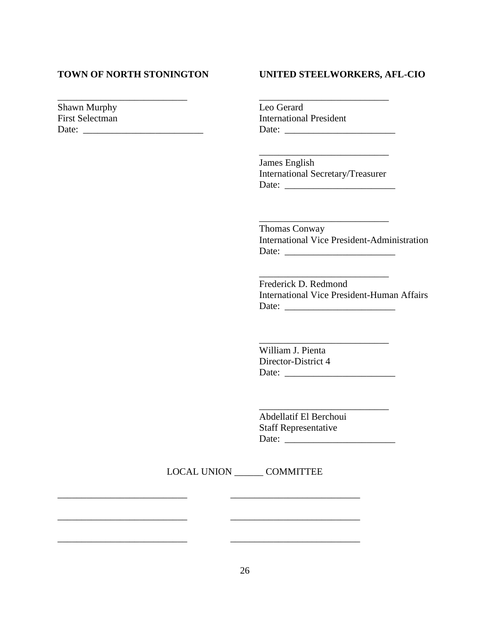#### **TOWN OF NORTH STONINGTON UNITED STEELWORKERS, AFL-CIO**

 $\mathcal{L}_\text{max}$  , and the set of the set of the set of the set of the set of the set of the set of the set of the set of the set of the set of the set of the set of the set of the set of the set of the set of the set of the

Shawn Murphy Leo Gerard First Selectman International President Date: \_\_\_\_\_\_\_\_\_\_\_\_\_\_\_\_\_\_\_\_\_\_\_\_\_ Date: \_\_\_\_\_\_\_\_\_\_\_\_\_\_\_\_\_\_\_\_\_\_\_

> $\overline{\phantom{a}}$  , and the set of the set of the set of the set of the set of the set of the set of the set of the set of the set of the set of the set of the set of the set of the set of the set of the set of the set of the s James English International Secretary/Treasurer Date: \_\_\_\_\_\_\_\_\_\_\_\_\_\_\_\_\_\_\_\_\_\_\_

\_\_\_\_\_\_\_\_\_\_\_\_\_\_\_\_\_\_\_\_\_\_\_\_\_\_\_ Thomas Conway International Vice President-Administration Date: \_\_\_\_\_\_\_\_\_\_\_\_\_\_\_\_\_\_\_\_\_\_\_

Frederick D. Redmond International Vice President-Human Affairs Date: \_\_\_\_\_\_\_\_\_\_\_\_\_\_\_\_\_\_\_\_\_\_\_

 $\mathcal{L}=\mathcal{L}=\mathcal{L}$ 

 $\frac{1}{2}$  ,  $\frac{1}{2}$  ,  $\frac{1}{2}$  ,  $\frac{1}{2}$  ,  $\frac{1}{2}$  ,  $\frac{1}{2}$  ,  $\frac{1}{2}$  ,  $\frac{1}{2}$  ,  $\frac{1}{2}$  ,  $\frac{1}{2}$ 

William J. Pienta Director-District 4 Date: \_\_\_\_\_\_\_\_\_\_\_\_\_\_\_\_\_\_\_\_\_\_\_

\_\_\_\_\_\_\_\_\_\_\_\_\_\_\_\_\_\_\_\_\_\_\_\_\_\_\_

Abdellatif El Berchoui Staff Representative Date: \_\_\_\_\_\_\_\_\_\_\_\_\_\_\_\_\_\_\_\_\_\_\_

LOCAL UNION COMMITTEE

\_\_\_\_\_\_\_\_\_\_\_\_\_\_\_\_\_\_\_\_\_\_\_\_\_\_\_ \_\_\_\_\_\_\_\_\_\_\_\_\_\_\_\_\_\_\_\_\_\_\_\_\_\_\_

\_\_\_\_\_\_\_\_\_\_\_\_\_\_\_\_\_\_\_\_\_\_\_\_\_\_\_ \_\_\_\_\_\_\_\_\_\_\_\_\_\_\_\_\_\_\_\_\_\_\_\_\_\_\_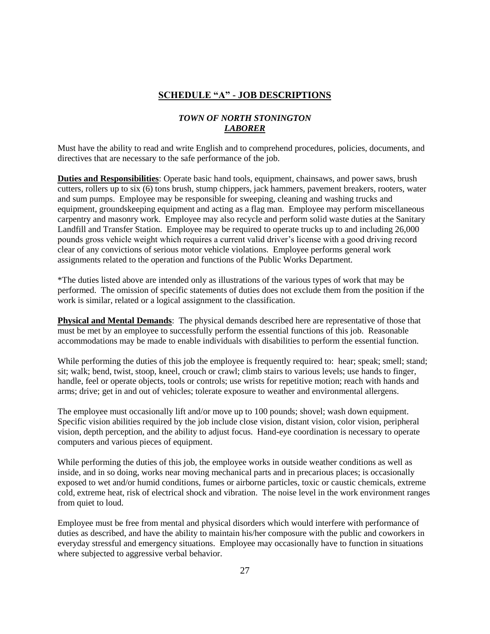#### **SCHEDULE "A" - JOB DESCRIPTIONS**

#### *TOWN OF NORTH STONINGTON LABORER*

<span id="page-28-0"></span>Must have the ability to read and write English and to comprehend procedures, policies, documents, and directives that are necessary to the safe performance of the job.

**Duties and Responsibilities**: Operate basic hand tools, equipment, chainsaws, and power saws, brush cutters, rollers up to six (6) tons brush, stump chippers, jack hammers, pavement breakers, rooters, water and sum pumps. Employee may be responsible for sweeping, cleaning and washing trucks and equipment, groundskeeping equipment and acting as a flag man. Employee may perform miscellaneous carpentry and masonry work. Employee may also recycle and perform solid waste duties at the Sanitary Landfill and Transfer Station. Employee may be required to operate trucks up to and including 26,000 pounds gross vehicle weight which requires a current valid driver's license with a good driving record clear of any convictions of serious motor vehicle violations. Employee performs general work assignments related to the operation and functions of the Public Works Department.

\*The duties listed above are intended only as illustrations of the various types of work that may be performed. The omission of specific statements of duties does not exclude them from the position if the work is similar, related or a logical assignment to the classification.

**Physical and Mental Demands**: The physical demands described here are representative of those that must be met by an employee to successfully perform the essential functions of this job. Reasonable accommodations may be made to enable individuals with disabilities to perform the essential function.

While performing the duties of this job the employee is frequently required to: hear; speak; smell; stand; sit; walk; bend, twist, stoop, kneel, crouch or crawl; climb stairs to various levels; use hands to finger, handle, feel or operate objects, tools or controls; use wrists for repetitive motion; reach with hands and arms; drive; get in and out of vehicles; tolerate exposure to weather and environmental allergens.

The employee must occasionally lift and/or move up to 100 pounds; shovel; wash down equipment. Specific vision abilities required by the job include close vision, distant vision, color vision, peripheral vision, depth perception, and the ability to adjust focus. Hand-eye coordination is necessary to operate computers and various pieces of equipment.

While performing the duties of this job, the employee works in outside weather conditions as well as inside, and in so doing, works near moving mechanical parts and in precarious places; is occasionally exposed to wet and/or humid conditions, fumes or airborne particles, toxic or caustic chemicals, extreme cold, extreme heat, risk of electrical shock and vibration. The noise level in the work environment ranges from quiet to loud.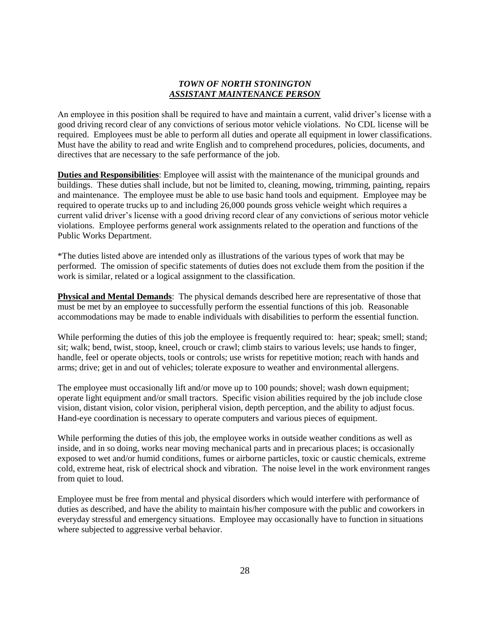#### *TOWN OF NORTH STONINGTON ASSISTANT MAINTENANCE PERSON*

An employee in this position shall be required to have and maintain a current, valid driver's license with a good driving record clear of any convictions of serious motor vehicle violations. No CDL license will be required. Employees must be able to perform all duties and operate all equipment in lower classifications. Must have the ability to read and write English and to comprehend procedures, policies, documents, and directives that are necessary to the safe performance of the job.

**Duties and Responsibilities**: Employee will assist with the maintenance of the municipal grounds and buildings. These duties shall include, but not be limited to, cleaning, mowing, trimming, painting, repairs and maintenance. The employee must be able to use basic hand tools and equipment. Employee may be required to operate trucks up to and including 26,000 pounds gross vehicle weight which requires a current valid driver's license with a good driving record clear of any convictions of serious motor vehicle violations. Employee performs general work assignments related to the operation and functions of the Public Works Department.

\*The duties listed above are intended only as illustrations of the various types of work that may be performed. The omission of specific statements of duties does not exclude them from the position if the work is similar, related or a logical assignment to the classification.

**Physical and Mental Demands**: The physical demands described here are representative of those that must be met by an employee to successfully perform the essential functions of this job. Reasonable accommodations may be made to enable individuals with disabilities to perform the essential function.

While performing the duties of this job the employee is frequently required to: hear; speak; smell; stand; sit; walk; bend, twist, stoop, kneel, crouch or crawl; climb stairs to various levels; use hands to finger, handle, feel or operate objects, tools or controls; use wrists for repetitive motion; reach with hands and arms; drive; get in and out of vehicles; tolerate exposure to weather and environmental allergens.

The employee must occasionally lift and/or move up to 100 pounds; shovel; wash down equipment; operate light equipment and/or small tractors. Specific vision abilities required by the job include close vision, distant vision, color vision, peripheral vision, depth perception, and the ability to adjust focus. Hand-eye coordination is necessary to operate computers and various pieces of equipment.

While performing the duties of this job, the employee works in outside weather conditions as well as inside, and in so doing, works near moving mechanical parts and in precarious places; is occasionally exposed to wet and/or humid conditions, fumes or airborne particles, toxic or caustic chemicals, extreme cold, extreme heat, risk of electrical shock and vibration. The noise level in the work environment ranges from quiet to loud.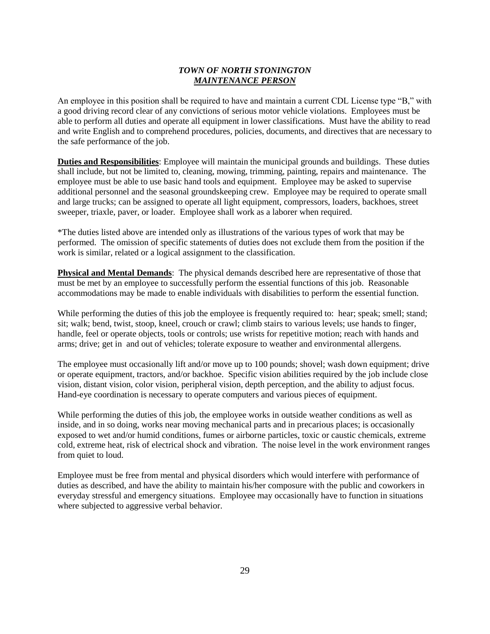#### *TOWN OF NORTH STONINGTON MAINTENANCE PERSON*

An employee in this position shall be required to have and maintain a current CDL License type "B," with a good driving record clear of any convictions of serious motor vehicle violations. Employees must be able to perform all duties and operate all equipment in lower classifications. Must have the ability to read and write English and to comprehend procedures, policies, documents, and directives that are necessary to the safe performance of the job.

**Duties and Responsibilities**: Employee will maintain the municipal grounds and buildings. These duties shall include, but not be limited to, cleaning, mowing, trimming, painting, repairs and maintenance. The employee must be able to use basic hand tools and equipment. Employee may be asked to supervise additional personnel and the seasonal groundskeeping crew. Employee may be required to operate small and large trucks; can be assigned to operate all light equipment, compressors, loaders, backhoes, street sweeper, triaxle, paver, or loader. Employee shall work as a laborer when required.

\*The duties listed above are intended only as illustrations of the various types of work that may be performed. The omission of specific statements of duties does not exclude them from the position if the work is similar, related or a logical assignment to the classification.

**Physical and Mental Demands**: The physical demands described here are representative of those that must be met by an employee to successfully perform the essential functions of this job. Reasonable accommodations may be made to enable individuals with disabilities to perform the essential function.

While performing the duties of this job the employee is frequently required to: hear; speak; smell; stand; sit; walk; bend, twist, stoop, kneel, crouch or crawl; climb stairs to various levels; use hands to finger, handle, feel or operate objects, tools or controls; use wrists for repetitive motion; reach with hands and arms; drive; get in and out of vehicles; tolerate exposure to weather and environmental allergens.

The employee must occasionally lift and/or move up to 100 pounds; shovel; wash down equipment; drive or operate equipment, tractors, and/or backhoe. Specific vision abilities required by the job include close vision, distant vision, color vision, peripheral vision, depth perception, and the ability to adjust focus. Hand-eye coordination is necessary to operate computers and various pieces of equipment.

While performing the duties of this job, the employee works in outside weather conditions as well as inside, and in so doing, works near moving mechanical parts and in precarious places; is occasionally exposed to wet and/or humid conditions, fumes or airborne particles, toxic or caustic chemicals, extreme cold, extreme heat, risk of electrical shock and vibration. The noise level in the work environment ranges from quiet to loud.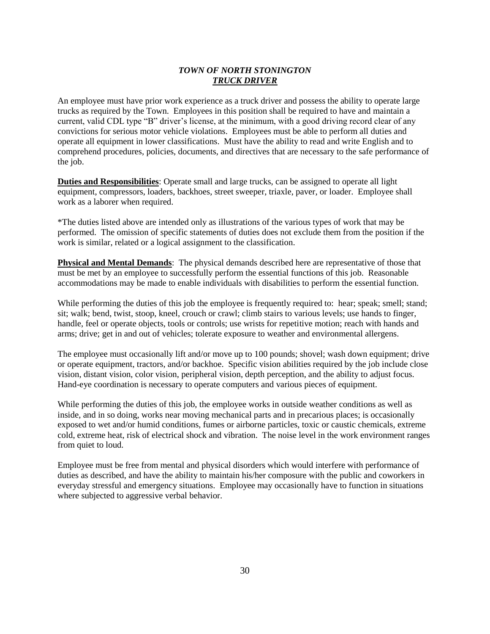#### *TOWN OF NORTH STONINGTON TRUCK DRIVER*

An employee must have prior work experience as a truck driver and possess the ability to operate large trucks as required by the Town. Employees in this position shall be required to have and maintain a current, valid CDL type "B" driver's license, at the minimum, with a good driving record clear of any convictions for serious motor vehicle violations. Employees must be able to perform all duties and operate all equipment in lower classifications. Must have the ability to read and write English and to comprehend procedures, policies, documents, and directives that are necessary to the safe performance of the job.

**Duties and Responsibilities**: Operate small and large trucks, can be assigned to operate all light equipment, compressors, loaders, backhoes, street sweeper, triaxle, paver, or loader. Employee shall work as a laborer when required.

\*The duties listed above are intended only as illustrations of the various types of work that may be performed. The omission of specific statements of duties does not exclude them from the position if the work is similar, related or a logical assignment to the classification.

**Physical and Mental Demands**: The physical demands described here are representative of those that must be met by an employee to successfully perform the essential functions of this job. Reasonable accommodations may be made to enable individuals with disabilities to perform the essential function.

While performing the duties of this job the employee is frequently required to: hear; speak; smell; stand; sit; walk; bend, twist, stoop, kneel, crouch or crawl; climb stairs to various levels; use hands to finger, handle, feel or operate objects, tools or controls; use wrists for repetitive motion; reach with hands and arms; drive; get in and out of vehicles; tolerate exposure to weather and environmental allergens.

The employee must occasionally lift and/or move up to 100 pounds; shovel; wash down equipment; drive or operate equipment, tractors, and/or backhoe. Specific vision abilities required by the job include close vision, distant vision, color vision, peripheral vision, depth perception, and the ability to adjust focus. Hand-eye coordination is necessary to operate computers and various pieces of equipment.

While performing the duties of this job, the employee works in outside weather conditions as well as inside, and in so doing, works near moving mechanical parts and in precarious places; is occasionally exposed to wet and/or humid conditions, fumes or airborne particles, toxic or caustic chemicals, extreme cold, extreme heat, risk of electrical shock and vibration. The noise level in the work environment ranges from quiet to loud.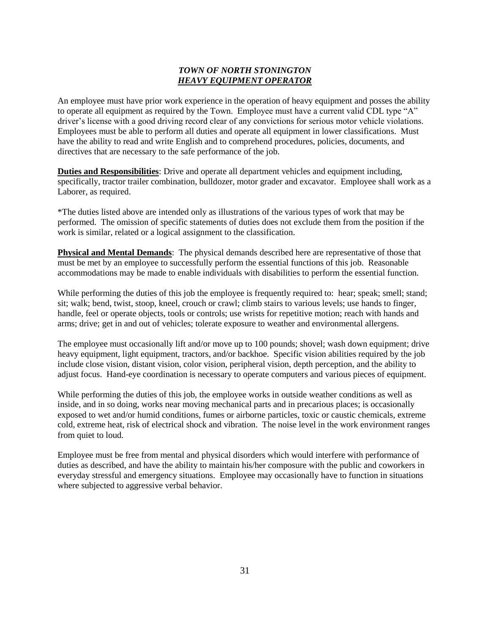#### *TOWN OF NORTH STONINGTON HEAVY EQUIPMENT OPERATOR*

An employee must have prior work experience in the operation of heavy equipment and posses the ability to operate all equipment as required by the Town. Employee must have a current valid CDL type "A" driver's license with a good driving record clear of any convictions for serious motor vehicle violations. Employees must be able to perform all duties and operate all equipment in lower classifications. Must have the ability to read and write English and to comprehend procedures, policies, documents, and directives that are necessary to the safe performance of the job.

**Duties and Responsibilities**: Drive and operate all department vehicles and equipment including, specifically, tractor trailer combination, bulldozer, motor grader and excavator. Employee shall work as a Laborer, as required.

\*The duties listed above are intended only as illustrations of the various types of work that may be performed. The omission of specific statements of duties does not exclude them from the position if the work is similar, related or a logical assignment to the classification.

**Physical and Mental Demands**: The physical demands described here are representative of those that must be met by an employee to successfully perform the essential functions of this job. Reasonable accommodations may be made to enable individuals with disabilities to perform the essential function.

While performing the duties of this job the employee is frequently required to: hear; speak; smell; stand; sit; walk; bend, twist, stoop, kneel, crouch or crawl; climb stairs to various levels; use hands to finger, handle, feel or operate objects, tools or controls; use wrists for repetitive motion; reach with hands and arms; drive; get in and out of vehicles; tolerate exposure to weather and environmental allergens.

The employee must occasionally lift and/or move up to 100 pounds; shovel; wash down equipment; drive heavy equipment, light equipment, tractors, and/or backhoe. Specific vision abilities required by the job include close vision, distant vision, color vision, peripheral vision, depth perception, and the ability to adjust focus. Hand-eye coordination is necessary to operate computers and various pieces of equipment.

While performing the duties of this job, the employee works in outside weather conditions as well as inside, and in so doing, works near moving mechanical parts and in precarious places; is occasionally exposed to wet and/or humid conditions, fumes or airborne particles, toxic or caustic chemicals, extreme cold, extreme heat, risk of electrical shock and vibration. The noise level in the work environment ranges from quiet to loud.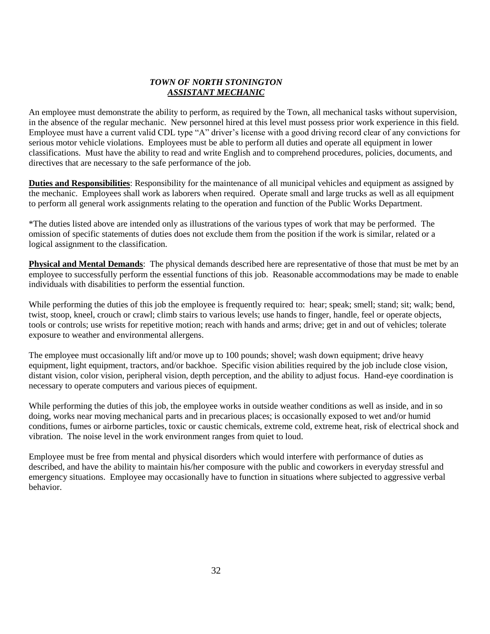#### *TOWN OF NORTH STONINGTON ASSISTANT MECHANIC*

An employee must demonstrate the ability to perform, as required by the Town, all mechanical tasks without supervision, in the absence of the regular mechanic. New personnel hired at this level must possess prior work experience in this field. Employee must have a current valid CDL type "A" driver's license with a good driving record clear of any convictions for serious motor vehicle violations. Employees must be able to perform all duties and operate all equipment in lower classifications. Must have the ability to read and write English and to comprehend procedures, policies, documents, and directives that are necessary to the safe performance of the job.

**Duties and Responsibilities**: Responsibility for the maintenance of all municipal vehicles and equipment as assigned by the mechanic. Employees shall work as laborers when required. Operate small and large trucks as well as all equipment to perform all general work assignments relating to the operation and function of the Public Works Department.

\*The duties listed above are intended only as illustrations of the various types of work that may be performed. The omission of specific statements of duties does not exclude them from the position if the work is similar, related or a logical assignment to the classification.

**Physical and Mental Demands**: The physical demands described here are representative of those that must be met by an employee to successfully perform the essential functions of this job. Reasonable accommodations may be made to enable individuals with disabilities to perform the essential function.

While performing the duties of this job the employee is frequently required to: hear; speak; smell; stand; sit; walk; bend, twist, stoop, kneel, crouch or crawl; climb stairs to various levels; use hands to finger, handle, feel or operate objects, tools or controls; use wrists for repetitive motion; reach with hands and arms; drive; get in and out of vehicles; tolerate exposure to weather and environmental allergens.

The employee must occasionally lift and/or move up to 100 pounds; shovel; wash down equipment; drive heavy equipment, light equipment, tractors, and/or backhoe. Specific vision abilities required by the job include close vision, distant vision, color vision, peripheral vision, depth perception, and the ability to adjust focus. Hand-eye coordination is necessary to operate computers and various pieces of equipment.

While performing the duties of this job, the employee works in outside weather conditions as well as inside, and in so doing, works near moving mechanical parts and in precarious places; is occasionally exposed to wet and/or humid conditions, fumes or airborne particles, toxic or caustic chemicals, extreme cold, extreme heat, risk of electrical shock and vibration. The noise level in the work environment ranges from quiet to loud.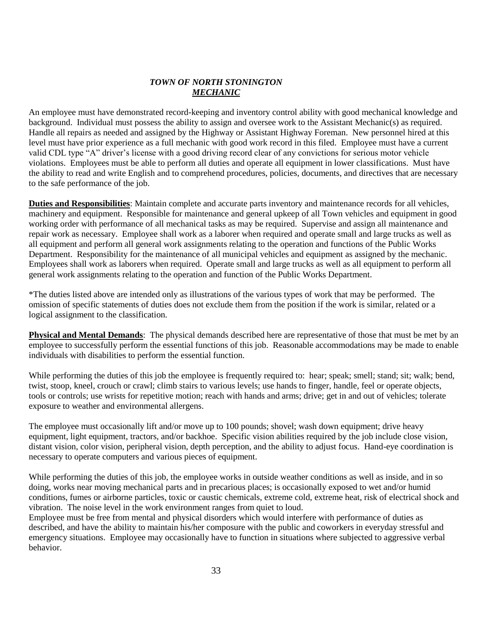#### *TOWN OF NORTH STONINGTON MECHANIC*

An employee must have demonstrated record-keeping and inventory control ability with good mechanical knowledge and background. Individual must possess the ability to assign and oversee work to the Assistant Mechanic(s) as required. Handle all repairs as needed and assigned by the Highway or Assistant Highway Foreman. New personnel hired at this level must have prior experience as a full mechanic with good work record in this filed. Employee must have a current valid CDL type "A" driver's license with a good driving record clear of any convictions for serious motor vehicle violations. Employees must be able to perform all duties and operate all equipment in lower classifications. Must have the ability to read and write English and to comprehend procedures, policies, documents, and directives that are necessary to the safe performance of the job.

**Duties and Responsibilities**: Maintain complete and accurate parts inventory and maintenance records for all vehicles, machinery and equipment. Responsible for maintenance and general upkeep of all Town vehicles and equipment in good working order with performance of all mechanical tasks as may be required. Supervise and assign all maintenance and repair work as necessary. Employee shall work as a laborer when required and operate small and large trucks as well as all equipment and perform all general work assignments relating to the operation and functions of the Public Works Department. Responsibility for the maintenance of all municipal vehicles and equipment as assigned by the mechanic. Employees shall work as laborers when required. Operate small and large trucks as well as all equipment to perform all general work assignments relating to the operation and function of the Public Works Department.

\*The duties listed above are intended only as illustrations of the various types of work that may be performed. The omission of specific statements of duties does not exclude them from the position if the work is similar, related or a logical assignment to the classification.

**Physical and Mental Demands**: The physical demands described here are representative of those that must be met by an employee to successfully perform the essential functions of this job. Reasonable accommodations may be made to enable individuals with disabilities to perform the essential function.

While performing the duties of this job the employee is frequently required to: hear; speak; smell; stand; sit; walk; bend, twist, stoop, kneel, crouch or crawl; climb stairs to various levels; use hands to finger, handle, feel or operate objects, tools or controls; use wrists for repetitive motion; reach with hands and arms; drive; get in and out of vehicles; tolerate exposure to weather and environmental allergens.

The employee must occasionally lift and/or move up to 100 pounds; shovel; wash down equipment; drive heavy equipment, light equipment, tractors, and/or backhoe. Specific vision abilities required by the job include close vision, distant vision, color vision, peripheral vision, depth perception, and the ability to adjust focus. Hand-eye coordination is necessary to operate computers and various pieces of equipment.

While performing the duties of this job, the employee works in outside weather conditions as well as inside, and in so doing, works near moving mechanical parts and in precarious places; is occasionally exposed to wet and/or humid conditions, fumes or airborne particles, toxic or caustic chemicals, extreme cold, extreme heat, risk of electrical shock and vibration. The noise level in the work environment ranges from quiet to loud.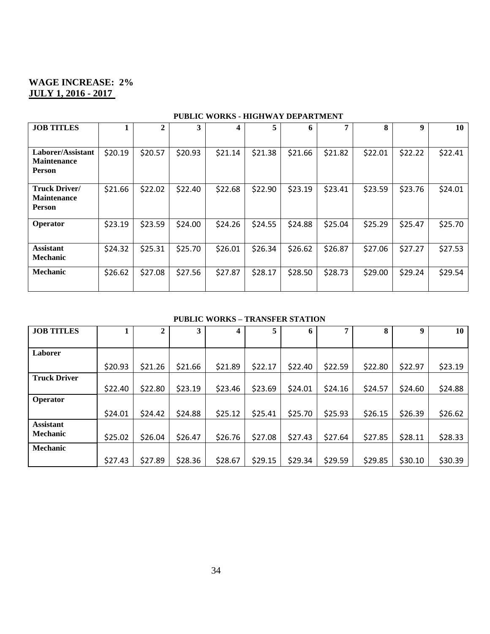## **WAGE INCREASE: 2% JULY 1, 2016 - 2017**

| <b>JOB TITLES</b>                                           | 1       | $\mathbf{2}$ | 3       | 4       | 5       | 6       | 7       | 8       | 9       | 10      |
|-------------------------------------------------------------|---------|--------------|---------|---------|---------|---------|---------|---------|---------|---------|
|                                                             |         |              |         |         |         |         |         |         |         |         |
| Laborer/Assistant<br><b>Maintenance</b><br>Person           | \$20.19 | \$20.57      | \$20.93 | \$21.14 | \$21.38 | \$21.66 | \$21.82 | \$22.01 | \$22.22 | \$22.41 |
| <b>Truck Driver/</b><br><b>Maintenance</b><br><b>Person</b> | \$21.66 | \$22.02      | \$22.40 | \$22.68 | \$22.90 | \$23.19 | \$23.41 | \$23.59 | \$23.76 | \$24.01 |
| <b>Operator</b>                                             | \$23.19 | \$23.59      | \$24.00 | \$24.26 | \$24.55 | \$24.88 | \$25.04 | \$25.29 | \$25.47 | \$25.70 |
| <b>Assistant</b><br><b>Mechanic</b>                         | \$24.32 | \$25.31      | \$25.70 | \$26.01 | \$26.34 | \$26.62 | \$26.87 | \$27.06 | \$27.27 | \$27.53 |
| <b>Mechanic</b>                                             | \$26.62 | \$27.08      | \$27.56 | \$27.87 | \$28.17 | \$28.50 | \$28.73 | \$29.00 | \$29.24 | \$29.54 |

## **PUBLIC WORKS - HIGHWAY DEPARTMENT**

#### **PUBLIC WORKS – TRANSFER STATION**

| <b>JOB TITLES</b>   |         | 2       | 3       | 4       | 5       | 6       | 7       | 8       | 9       | 10      |
|---------------------|---------|---------|---------|---------|---------|---------|---------|---------|---------|---------|
|                     |         |         |         |         |         |         |         |         |         |         |
| Laborer             |         |         |         |         |         |         |         |         |         |         |
|                     | \$20.93 | \$21.26 | \$21.66 | \$21.89 | \$22.17 | \$22.40 | \$22.59 | \$22.80 | \$22.97 | \$23.19 |
| <b>Truck Driver</b> |         |         |         |         |         |         |         |         |         |         |
|                     | \$22.40 | \$22.80 | \$23.19 | \$23.46 | \$23.69 | \$24.01 | \$24.16 | \$24.57 | \$24.60 | \$24.88 |
| <b>Operator</b>     |         |         |         |         |         |         |         |         |         |         |
|                     | \$24.01 | \$24.42 | \$24.88 | \$25.12 | \$25.41 | \$25.70 | \$25.93 | \$26.15 | \$26.39 | \$26.62 |
| <b>Assistant</b>    |         |         |         |         |         |         |         |         |         |         |
| <b>Mechanic</b>     | \$25.02 | \$26.04 | \$26.47 | \$26.76 | \$27.08 | \$27.43 | \$27.64 | \$27.85 | \$28.11 | \$28.33 |
| Mechanic            |         |         |         |         |         |         |         |         |         |         |
|                     | \$27.43 | \$27.89 | \$28.36 | \$28.67 | \$29.15 | \$29.34 | \$29.59 | \$29.85 | \$30.10 | \$30.39 |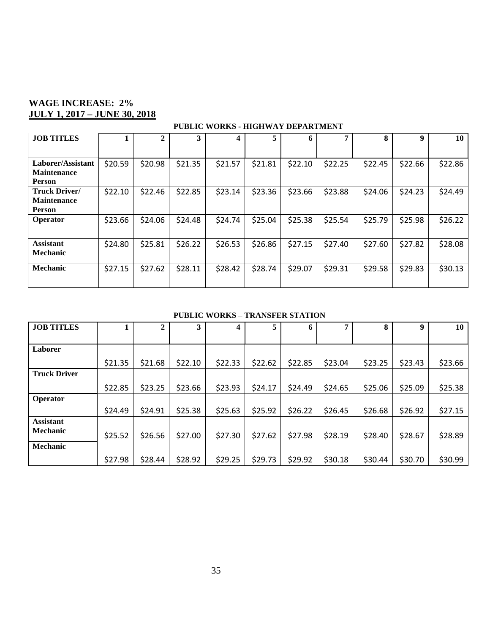## **WAGE INCREASE: 2% JULY 1, 2017 – JUNE 30, 2018**

#### **PUBLIC WORKS - HIGHWAY DEPARTMENT**

| <b>JOB TITLES</b>                                           |         | $\mathbf{2}$ | 3       | 4       | 5       | 6       | 7       | 8       | 9       | 10      |
|-------------------------------------------------------------|---------|--------------|---------|---------|---------|---------|---------|---------|---------|---------|
|                                                             |         |              |         |         |         |         |         |         |         |         |
| Laborer/Assistant<br><b>Maintenance</b><br><b>Person</b>    | \$20.59 | \$20.98      | \$21.35 | \$21.57 | \$21.81 | \$22.10 | \$22.25 | \$22.45 | \$22.66 | \$22.86 |
| <b>Truck Driver/</b><br><b>Maintenance</b><br><b>Person</b> | \$22.10 | \$22.46      | \$22.85 | \$23.14 | \$23.36 | \$23.66 | \$23.88 | \$24.06 | \$24.23 | \$24.49 |
| <b>Operator</b>                                             | \$23.66 | \$24.06      | \$24.48 | \$24.74 | \$25.04 | \$25.38 | \$25.54 | \$25.79 | \$25.98 | \$26.22 |
| <b>Assistant</b><br><b>Mechanic</b>                         | \$24.80 | \$25.81      | \$26.22 | \$26.53 | \$26.86 | \$27.15 | \$27.40 | \$27.60 | \$27.82 | \$28.08 |
| <b>Mechanic</b>                                             | \$27.15 | \$27.62      | \$28.11 | \$28.42 | \$28.74 | \$29.07 | \$29.31 | \$29.58 | \$29.83 | \$30.13 |

#### **PUBLIC WORKS – TRANSFER STATION**

| <b>JOB TITLES</b>   |         | 2       | 3       | 4       | 5       | 6       | 7       | 8       | 9       | 10      |
|---------------------|---------|---------|---------|---------|---------|---------|---------|---------|---------|---------|
|                     |         |         |         |         |         |         |         |         |         |         |
| Laborer             |         |         |         |         |         |         |         |         |         |         |
|                     | \$21.35 | \$21.68 | \$22.10 | \$22.33 | \$22.62 | \$22.85 | \$23.04 | \$23.25 | \$23.43 | \$23.66 |
| <b>Truck Driver</b> |         |         |         |         |         |         |         |         |         |         |
|                     | \$22.85 | \$23.25 | \$23.66 | \$23.93 | \$24.17 | \$24.49 | \$24.65 | \$25.06 | \$25.09 | \$25.38 |
| <b>Operator</b>     |         |         |         |         |         |         |         |         |         |         |
|                     | \$24.49 | \$24.91 | \$25.38 | \$25.63 | \$25.92 | \$26.22 | \$26.45 | \$26.68 | \$26.92 | \$27.15 |
| <b>Assistant</b>    |         |         |         |         |         |         |         |         |         |         |
| Mechanic            | \$25.52 | \$26.56 | \$27.00 | \$27.30 | \$27.62 | \$27.98 | \$28.19 | \$28.40 | \$28.67 | \$28.89 |
| <b>Mechanic</b>     |         |         |         |         |         |         |         |         |         |         |
|                     | \$27.98 | \$28.44 | \$28.92 | \$29.25 | \$29.73 | \$29.92 | \$30.18 | \$30.44 | \$30.70 | \$30.99 |